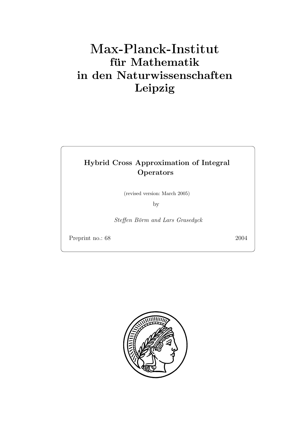# **für Mathematik in den Naturwissenschaften Leipzig**

### **Hybrid Cross Approximation of Integral Operators**

(revised version: March 2005)

by

Steffen Börm and Lars Grasedyck

Preprint no.: 68 2004

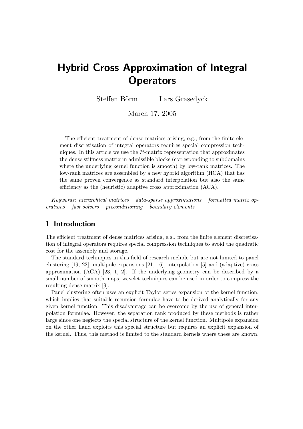## **Hybrid Cross Approximation of Integral Operators**

Steffen Börm Lars Grasedyck

March 17, 2005

The efficient treatment of dense matrices arising, e.g., from the finite element discretisation of integral operators requires special compression techniques. In this article we use the  $H$ -matrix representation that approximates the dense stiffness matrix in admissible blocks (corresponding to subdomains where the underlying kernel function is smooth) by low-rank matrices. The low-rank matrices are assembled by a new hybrid algorithm (HCA) that has the same proven convergence as standard interpolation but also the same efficiency as the (heuristic) adaptive cross approximation (ACA).

*Keywords: hierarchical matrices – data-sparse approximations – formatted matrix operations – fast solvers – preconditioning – boundary elements*

#### **1 Introduction**

The efficient treatment of dense matrices arising, e.g., from the finite element discretisation of integral operators requires special compression techniques to avoid the quadratic cost for the assembly and storage.

The standard techniques in this field of research include but are not limited to panel clustering [19, 22], multipole expansions [21, 16], interpolation [5] and (adaptive) cross approximation (ACA) [23, 1, 2]. If the underlying geometry can be described by a small number of smooth maps, wavelet techniques can be used in order to compress the resulting dense matrix [9].

Panel clustering often uses an explicit Taylor series expansion of the kernel function, which implies that suitable recursion formulae have to be derived analytically for any given kernel function. This disadvantage can be overcome by the use of general interpolation formulae. However, the separation rank produced by these methods is rather large since one neglects the special structure of the kernel function. Multipole expansion on the other hand exploits this special structure but requires an explicit expansion of the kernel. Thus, this method is limited to the standard kernels where these are known.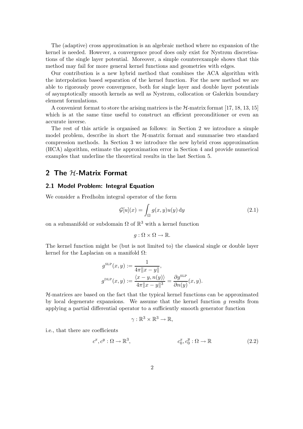The (adaptive) cross approximation is an algebraic method where no expansion of the kernel is needed. However, a convergence proof does only exist for Nystrøm discretisations of the single layer potential. Moreover, a simple counterexample shows that this method may fail for more general kernel functions and geometries with edges.

Our contribution is a new hybrid method that combines the ACA algorithm with the interpolation based separation of the kernel function. For the new method we are able to rigorously prove convergence, both for single layer and double layer potentials of asymptotically smooth kernels as well as Nystrøm, collocation or Galerkin boundary element formulations.

A convenient format to store the arising matrices is the  $H$ -matrix format [17, 18, 13, 15] which is at the same time useful to construct an efficient preconditioner or even an accurate inverse.

The rest of this article is organised as follows: in Section 2 we introduce a simple model problem, describe in short the  $H$ -matrix format and summarise two standard compression methods. In Section 3 we introduce the new hybrid cross approximation (HCA) algorithm, estimate the approximation error in Section 4 and provide numerical examples that underline the theoretical results in the last Section 5.

#### 2 The H-Matrix Format

#### **2.1 Model Problem: Integral Equation**

We consider a Fredholm integral operator of the form

$$
\mathcal{G}[u](x) = \int_{\Omega} g(x, y)u(y) \, \mathrm{d}y \tag{2.1}
$$

on a submanifold or subdomain  $\Omega$  of  $\mathbb{R}^3$  with a kernel function

$$
g:\Omega\times\Omega\to\mathbb{R}.
$$

The kernel function might be (but is not limited to) the classical single or double layer kernel for the Laplacian on a manifold  $Ω$ :

$$
g^{\text{SLP}}(x, y) := \frac{1}{4\pi ||x - y||},
$$
  

$$
g^{\text{DLP}}(x, y) := \frac{\langle x - y, n(y) \rangle}{4\pi ||x - y||^3} = \frac{\partial g^{\text{SLP}}}{\partial n(y)}(x, y).
$$

 $H$ -matrices are based on the fact that the typical kernel functions can be approximated by local degenerate expansions. We assume that the kernel function  $q$  results from applying a partial differential operator to a sufficiently smooth generator function

$$
\gamma:\mathbb{R}^3\times\mathbb{R}^3\to\mathbb{R},
$$

i.e., that there are coefficients

$$
c^x, c^y : \Omega \to \mathbb{R}^3, \qquad c_0^x, c_0^y : \Omega \to \mathbb{R} \tag{2.2}
$$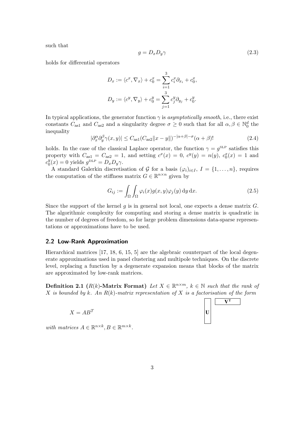such that

$$
g = D_x D_y \gamma \tag{2.3}
$$

holds for differential operators

$$
D_x := \langle c^x, \nabla_x \rangle + c_0^x = \sum_{i=1}^3 c_i^x \partial_{x_i} + c_0^x,
$$
  

$$
D_y := \langle c^y, \nabla_y \rangle + c_0^y = \sum_{j=1}^3 c_j^y \partial_{y_j} + c_0^y.
$$

In typical applications, the generator function  $\gamma$  is *asymptotically smooth*, i.e., there exist constants  $C_{as1}$  and  $C_{as2}$  and a singularity degree  $\sigma \geq 0$  such that for all  $\alpha, \beta \in \mathbb{N}_0^d$  the inequality

$$
|\partial_x^{\alpha} \partial_y^{\beta} \gamma(x, y)| \le C_{\text{as}1} (C_{\text{as}2} ||x - y||)^{-|\alpha + \beta| - \sigma} (\alpha + \beta)! \tag{2.4}
$$

holds. In the case of the classical Laplace operator, the function  $\gamma = g^{\text{SLP}}$  satisfies this property with  $C_{\text{as}1} = C_{\text{as}2} = 1$ , and setting  $c^x(x) = 0$ ,  $c^y(y) = n(y)$ ,  $c_0^x(x) = 1$  and  $c_0^y(x) = 0$  yields  $g^{\text{DLP}} = D_x D_y \gamma$ .

A standard Galerkin discretisation of G for a basis  $(\varphi_i)_{i\in I}$ ,  $I = \{1,\ldots,n\}$ , requires the computation of the stiffness matrix  $G \in \mathbb{R}^{n \times n}$  given by

$$
G_{ij} := \int_{\Omega} \int_{\Omega} \varphi_i(x) g(x, y) \varphi_j(y) \, dy \, dx. \tag{2.5}
$$

Since the support of the kernel  $g$  is in general not local, one expects a dense matrix  $G$ . The algorithmic complexity for computing and storing a dense matrix is quadratic in the number of degrees of freedom, so for large problem dimensions data-sparse representations or approximations have to be used.

#### **2.2 Low-Rank Approximation**

Hierarchical matrices [17, 18, 6, 15, 5] are the algebraic counterpart of the local degenerate approximations used in panel clustering and multipole techniques. On the discrete level, replacing a function by a degenerate expansion means that blocks of the matrix are approximated by low-rank matrices.

**Definition 2.1** ( $R(k)$ -Matrix Format) Let  $X \in \mathbb{R}^{n \times m}$ ,  $k \in \mathbb{N}$  such that the rank of X *is bounded by* k*. An* R(k)*-matrix representation of* X *is a factorisation of the form*

$$
X = AB^T
$$

**VT**

*with matrices*  $A \in \mathbb{R}^{n \times k}, B \in \mathbb{R}^{m \times k}$ .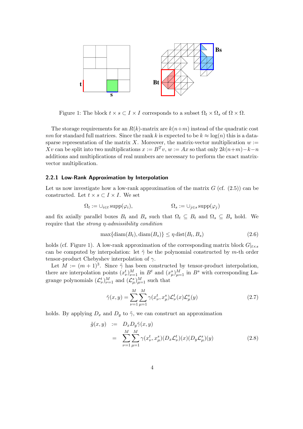

Figure 1: The block  $t \times s \subset I \times I$  corresponds to a subset  $\Omega_t \times \Omega_s$  of  $\Omega \times \Omega$ .

The storage requirements for an  $R(k)$ -matrix are  $k(n+m)$  instead of the quadratic cost nm for standard full matrices. Since the rank k is expected to be  $k \approx \log(n)$  this is a datasparse representation of the matrix X. Moreover, the matrix-vector multiplication  $w :=$ Xv can be split into two multiplications  $x := B<sup>T</sup>v$ ,  $w := Ax$  so that only  $2k(n+m)-k-n$ additions and multiplications of real numbers are necessary to perform the exact matrixvector multiplication.

#### **2.2.1 Low-Rank Approximation by Interpolation**

Let us now investigate how a low-rank approximation of the matrix  $G$  (cf.  $(2.5)$ ) can be constructed. Let  $t \times s \subset I \times I$ . We set

$$
\Omega_t := \cup_{i \in t} \operatorname{supp}(\varphi_i), \qquad \qquad \Omega_s := \cup_{j \in s} \operatorname{supp}(\varphi_j)
$$

and fix axially parallel boxes  $B_t$  and  $B_s$  such that  $\Omega_t \subseteq B_t$  and  $\Omega_s \subseteq B_s$  hold. We require that the *strong* η*-admissibility condition*

$$
\max\{\text{diam}(B_t),\text{diam}(B_s)\}\leq \eta\,\text{dist}(B_t,B_s)\tag{2.6}
$$

holds (cf. Figure 1). A low-rank approximation of the corresponding matrix block  $G|_{t\times s}$ can be computed by interpolation: let  $\tilde{\gamma}$  be the polynomial constructed by m-th order tensor-product Chebyshev interpolation of  $\gamma$ .

Let  $M := (m+1)^3$ . Since  $\tilde{\gamma}$  has been constructed by tensor-product interpolation, there are interpolation points  $(x^t_\nu)_{\nu=1}^M$  in  $B^t$  and  $(x^s_\mu)_{\mu=1}^M$  in  $B^s$  with corresponding Lagrange polynomials  $(\mathcal{L}_{\nu}^{t})_{\nu=1}^{M}$  and  $(\mathcal{L}_{\mu}^{s})_{\mu=1}^{M}$  such that

$$
\tilde{\gamma}(x,y) = \sum_{\nu=1}^{M} \sum_{\mu=1}^{M} \gamma(x_{\nu}^t, x_{\mu}^s) \mathcal{L}_{\nu}^t(x) \mathcal{L}_{\mu}^s(y)
$$
\n(2.7)

holds. By applying  $D_x$  and  $D_y$  to  $\tilde{\gamma}$ , we can construct an approximation

$$
\tilde{g}(x,y) := D_x D_y \tilde{\gamma}(x,y)
$$
\n
$$
= \sum_{\nu=1}^{M} \sum_{\mu=1}^{M} \gamma(x_{\nu}^t, x_{\mu}^s)(D_x \mathcal{L}_{\nu}^t)(x) (D_y \mathcal{L}_{\mu}^s)(y) \tag{2.8}
$$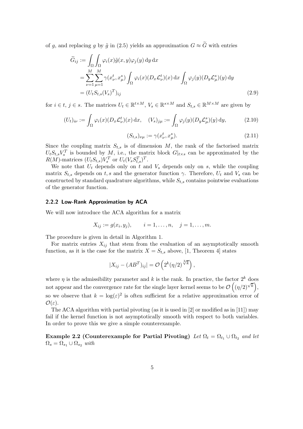of q, and replacing q by  $\tilde{q}$  in (2.5) yields an approximation  $G \approx \tilde{G}$  with entries

$$
\widetilde{G}_{ij} := \int_{\Omega} \int_{\Omega} \varphi_i(x) \widetilde{g}(x, y) \varphi_j(y) \, dy \, dx \n= \sum_{\nu=1}^{M} \sum_{\mu=1}^{M} \gamma(x_{\nu}^t, x_{\mu}^s) \int_{\Omega} \varphi_i(x) (D_x \mathcal{L}_{\nu}^t)(x) \, dx \int_{\Omega} \varphi_j(y) (D_y \mathcal{L}_{\mu}^s)(y) \, dy \n= (U_t S_{t,s}(V_s)^T)_{ij}
$$
\n(2.9)

for  $i \in t, j \in s$ . The matrices  $U_t \in \mathbb{R}^{t \times M}$ ,  $V_s \in \mathbb{R}^{s \times M}$  and  $S_{t,s} \in \mathbb{R}^{M \times M}$  are given by

$$
(U_t)_{i\nu} := \int_{\Omega} \varphi_i(x) (D_x \mathcal{L}^t_{\nu})(x) dx, \quad (V_s)_{j\mu} := \int_{\Omega} \varphi_j(y) (D_y \mathcal{L}^s_{\mu})(y) dy,
$$
(2.10)

$$
(S_{t,s})_{\nu\mu} := \gamma(x_{\nu}^t, x_{\mu}^s). \tag{2.11}
$$

Since the coupling matrix  $S_{t,s}$  is of dimension M, the rank of the factorised matrix  $U_t S_{t,s} V_s^T$  is bounded by M, i.e., the matrix block  $G|_{t\times s}$  can be approximated by the  $R(M)$ -matrices  $(U_t S_{t,s}) V_s^T$  or  $U_t (V_s S_{t,s}^T)^T$ .

We note that  $U_t$  depends only on t and  $V_s$  depends only on s, while the coupling matrix  $S_{t,s}$  depends on t, s and the generator function  $\gamma$ . Therefore,  $U_t$  and  $V_s$  can be constructed by standard quadrature algorithms, while  $S_{t,s}$  contains pointwise evaluations of the generator function.

#### **2.2.2 Low-Rank Approximation by ACA**

We will now introduce the ACA algorithm for a matrix

$$
X_{ij} := g(x_i, y_j),
$$
  $i = 1, ..., n, j = 1, ..., m.$ 

The procedure is given in detail in Algorithm 1.

For matrix entries  $X_{ij}$  that stem from the evaluation of an asymptotically smooth function, as it is the case for the matrix  $X = S_{t,s}$  above, [1, Theorem 4] states

$$
|X_{ij} - (AB^T)_{ij}| = O\left(2^k(\eta/2)^{\sqrt[3]{k}}\right),\,
$$

where  $\eta$  is the admissibility parameter and k is the rank. In practice, the factor  $2^k$  does not appear and the convergence rate for the single layer kernel seems to be  $\mathcal{O}\left(\frac{(\eta/2)^{\sqrt{k}}}{k}\right)$ , so we observe that  $k = \log(\varepsilon)^2$  is often sufficient for a relative approximation error of  $\mathcal{O}(\varepsilon)$ .

The ACA algorithm with partial pivoting (as it is used in [2] or modified as in [11]) may fail if the kernel function is not asymptotically smooth with respect to both variables. In order to prove this we give a simple counterexample.

**Example 2.2 (Counterexample for Partial Pivoting)** *Let*  $\Omega_t = \Omega_{t_1} \cup \Omega_{t_2}$  *and let*  $\Omega_s = \Omega_{s_1} \cup \Omega_{s_2}$  *with*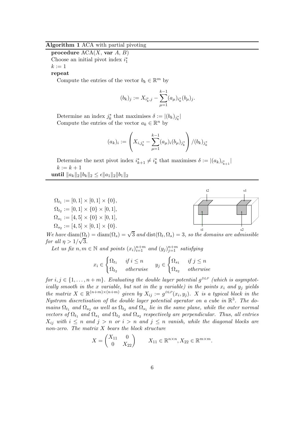#### **Algorithm 1** ACA with partial pivoting

**procedure** ACA(X, **var** A, B) Choose an initial pivot index  $i_1^*$  $k := 1$ 

**repeat**

Compute the entries of the vector  $b_k \in \mathbb{R}^m$  by

$$
(b_k)_j := X_{i_k^*,j} - \sum_{\mu=1}^{k-1} (a_\mu)_{i_k^*} (b_\mu)_j.
$$

Determine an index  $j_k^*$  that maximises  $\delta := |(b_k)_{j_k^*}|$ Compute the entries of the vector  $a_k \in \mathbb{R}^n$  by

$$
(a_k)_i := \left(X_{i,j_k^*} - \sum_{\mu=1}^{k-1} (a_\mu)_i (b_\mu)_{j_k^*}\right) / (b_k)_{j_k^*}
$$

Determine the next pivot index  $i_{k+1}^* \neq i_k^*$  that maximises  $\delta := |(a_k)_{i_{k+1}^*}|$  $k := k + 1$  $\textbf{until } \|a_k\|_2 \|b_k\|_2 \leq \epsilon \|a_1\|_2 \|b_1\|_2$ 



 $We have \text{ diam}(\Omega_t) = \text{diam}(\Omega_s) = \sqrt{3} \text{ and } \text{dist}(\Omega_t, \Omega_s) = 3$ , so the domains are admissible *for all*  $\eta > 1/\sqrt{3}$ .

Let us fix  $n, m \in \mathbb{N}$  and points  $(x_i)_{i=1}^{n+m}$  and  $(y_j)_{j=1}^{n+m}$  satisfying

$$
x_i \in \begin{cases} \Omega_{t_1} & \text{if } i \le n \\ \Omega_{t_2} & \text{otherwise} \end{cases} \quad y_j \in \begin{cases} \Omega_{s_1} & \text{if } j \le n \\ \Omega_{s_2} & \text{otherwise} \end{cases}
$$

*for*  $i, j \in \{1, \ldots, n+m\}$ *. Evaluating the double layer potential*  $g^{DLP}$  *(which is asymptotically smooth in the* x *variable, but not in the* y *variable*) in the points  $x_i$  and  $y_j$  yields *the matrix*  $X \in \mathbb{R}^{(n+m)\times(n+m)}$  *given by*  $X_{ij} := g^{DLP}(x_i, y_j)$ *.* X *is a typical block in the Nystrøm discretisation of the double layer potential operator on a cube in* R3*. The domains*  $\Omega_{t_1}$  *and*  $\Omega_{s_2}$  *as well as*  $\Omega_{t_2}$  *and*  $\Omega_{s_1}$  *lie in the same plane, while the outer normal vectors of*  $\Omega_{t_1}$  *and*  $\Omega_{s_1}$  *and*  $\Omega_{t_2}$  *and*  $\Omega_{s_2}$  *respectively are perpendicular. Thus, all entries*  $X_{ij}$  with  $i \leq n$  and  $j > n$  or  $i > n$  and  $j \leq n$  vanish, while the diagonal blocks are *non-zero. The matrix* X *bears the block structure*

$$
X = \begin{pmatrix} X_{11} & 0 \\ 0 & X_{22} \end{pmatrix} \qquad X_{11} \in \mathbb{R}^{n \times n}, X_{22} \in \mathbb{R}^{m \times m}.
$$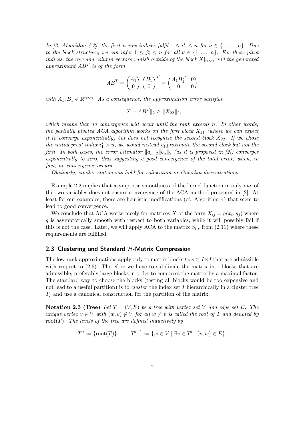*In [2, Algorithm 4.2], the first n row indices fulfil*  $1 \leq i_{\nu}^* \leq n$  for  $\nu \in \{1, ..., n\}$ *. Due to the block structure, we can infer*  $1 \leq j_{\nu}^* \leq n$  *for all*  $\nu \in \{1, \ldots, n\}$ *. For these pivot indices, the row and column vectors vanish outside of the block*  $X|_{n\times n}$  *and the generated approximant* AB<sup>T</sup> *is of the form*

$$
AB^T = \begin{pmatrix} A_1 \\ 0 \end{pmatrix} \begin{pmatrix} B_1 \\ 0 \end{pmatrix}^T = \begin{pmatrix} A_1 B_1^T & 0 \\ 0 & 0 \end{pmatrix}
$$

*with*  $A_1, B_1 \in \mathbb{R}^{n \times n}$ . As a consequence, the approximation error satisfies

$$
||X - AB^T||_2 \ge ||X_{22}||_2,
$$

*which means that no convergence will occur until the rank exceeds* n*. In other words, the partially pivoted ACA algorithm works on the first block* X11 *(where we can expect it to converge exponentially) but does not recognise the second block*  $X_{22}$ *. If we chose the initial pivot index*  $i_1^* > n$ , we would instead approximate the second block but not the first. In both cases, the error estimator  $\|a_\mu\|_2 \|b_\mu\|_2$  (as it is proposed in [2]) converges *exponentially to zero, thus suggesting a good convergence of the total error, when, in fact, no convergence occurs.*

*Obviously, similar statements hold for collocation or Galerkin discretisations.*

Example 2.2 implies that asymptotic smoothness of the kernel function in only *one* of the two variables does not ensure convergence of the ACA method presented in [2]. At least for our examples, there are heuristic modifications (cf. Algorithm 4) that seem to lead to good convergence.

We conclude that ACA works nicely for matrices X of the form  $X_{ij} = g(x_i, y_j)$  where g is asymptotically smooth with respect to both variables, while it will possibly fail if this is not the case. Later, we will apply ACA to the matrix  $S_{t,s}$  from (2.11) where these requirements are fulfilled.

#### **2.3 Clustering and Standard** H**-Matrix Compression**

The low-rank approximations apply only to matrix blocks  $t \times s \subset I \times I$  that are admissible with respect to  $(2.6)$ . Therefore we have to subdivide the matrix into blocks that are admissible, preferably large blocks in order to compress the matrix by a maximal factor. The standard way to choose the blocks (testing all blocks would be too expensive and not lead to a useful partition) is to *cluster* the index set I hierarchically in a cluster tree  $T_I$  and use a canonical construction for the partition of the matrix.

**Notation 2.3 (Tree)** Let  $T = (V, E)$  be a tree with vertex set V and edge set E. The *unique vertex*  $v \in V$  *with*  $(w, v) \notin V$  *for all*  $w \neq v$  *is called the root of* T *and denoted by* root(T)*. The levels of the tree are defined inductively by*

$$
T^0 := \{ \text{root}(T) \}, \qquad T^{i+1} := \{ w \in V \mid \exists v \in T^i : (v, w) \in E \}.
$$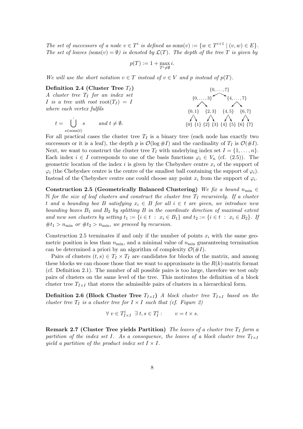*The set of successors of a node*  $v \in T^i$  *is defined as* sons $(v) := \{w \in T^{i+1} \mid (v, w) \in E\}$ *. The set of leaves (sons(v) =*  $\emptyset$ *) is denoted by*  $\mathcal{L}(T)$ *. The depth of the tree* T *is given by* 

$$
p(T) := 1 + \max_{T^i \neq \emptyset} i.
$$

*We will use the short notation*  $v \in T$  *instead of*  $v \in V$  *and* p *instead of*  $p(T)$ *.* 

**Definition 2.4 (Cluster Tree**  $T_I$ ) *A cluster tree* T<sup>I</sup> *for an index set* I is a tree with root  $\text{root}(T_I) = I$ *where each vertex fulfils*

$$
t = \bigcup_{s \in \text{sons}(t)}^{\cdot} s \qquad \text{and } t \neq \emptyset.
$$



For all practical cases the cluster tree  $T_I$  is a binary tree (each node has exactly two successors or it is a leaf), the depth p is  $\mathcal{O}(\log 4)$  and the cardinality of  $T_I$  is  $\mathcal{O}(4)$ . Next, we want to construct the cluster tree  $T_I$  with underlying index set  $I = \{1, \ldots, n\}$ . Each index  $i \in I$  corresponds to one of the basis functions  $\varphi_i \in V_n$  (cf. (2.5)). The geometric location of the index i is given by the Chebyshev centre  $x_i$  of the support of  $\varphi_i$  (the Chebyshev centre is the centre of the smallest ball containing the support of  $\varphi_i$ ). Instead of the Chebyshev centre one could choose any point  $x_i$  from the support of  $\varphi_i$ .

**Construction 2.5 (Geometrically Balanced Clustering)** *We fix a bound*  $n_{\min} \in$  $\mathbb N$  *for the size of leaf clusters and construct the cluster tree*  $T_I$  *recursively. If a cluster* t and a bounding box B satisfying  $x_i \in B$  for all  $i \in t$  are given, we introduce new *bounding boxes* B1 *and* B2 *by splitting* B *in the coordinate direction of maximal extent and new son clusters by setting*  $t_1 := \{i \in t : x_i \in B_1\}$  *and*  $t_2 := \{i \in t : x_i \in B_2\}$ *. If*  $#t_1 > n_{\min}$  *or*  $#t_2 > n_{\min}$ *, we proceed by recursion.* 

Construction 2.5 terminates if and only if the number of points  $x_i$  with the same geometric position is less than  $n_{\min}$ , and a minimal value of  $n_{\min}$  guaranteeing termination can be determined a priori by an algorithm of complexity  $\mathcal{O}(\#I)$ .

Pairs of clusters  $(t, s) \in T_I \times T_I$  are candidates for blocks of the matrix, and among these blocks we can choose those that we want to approximate in the  $R(k)$ -matrix format (cf. Definition 2.1). The number of all possible pairs is too large, therefore we test only pairs of clusters on the same level of the tree. This motivates the definition of a block cluster tree  $T_{I\times I}$  that stores the admissible pairs of clusters in a hierarchical form.

**Definition 2.6 (Block Cluster Tree**  $T_{I \times I}$ ) *A block cluster tree*  $T_{I \times I}$  based on the *cluster tree*  $T_I$  *is a cluster tree for*  $I \times I$  *such that (cf. Figure 2)* 

$$
\forall v \in T^i_{I \times I} \; \exists \; t, s \in T^i_I: \qquad v = t \times s.
$$

**Remark 2.7 (Cluster Tree yields Partition)** *The leaves of a cluster tree*  $T_I$  *form a partition of the index set I. As a consequence, the leaves of a block cluster tree*  $T_{I\times I}$ *yield a partition of the product index set*  $I \times I$ *.*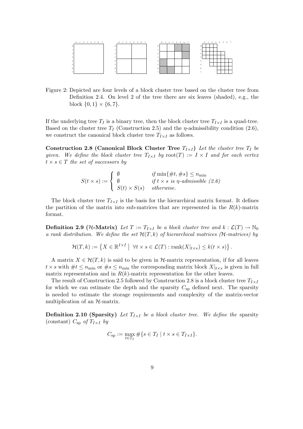

Figure 2: Depicted are four levels of a block cluster tree based on the cluster tree from Definition 2.4. On level 2 of the tree there are six leaves (shaded), e.g., the block  $\{0, 1\} \times \{6, 7\}.$ 

If the underlying tree  $T_I$  is a binary tree, then the block cluster tree  $T_{I \times I}$  is a quad-tree. Based on the cluster tree  $T_I$  (Construction 2.5) and the  $\eta$ -admissibility condition (2.6), we construct the canonical block cluster tree  $T_{I\times I}$  as follows.

**Construction 2.8 (Canonical Block Cluster Tree**  $T_{I \times I}$ ) Let the cluster tree  $T_I$  be *given.* We define the block cluster tree  $T_{I\times I}$  by  $root(T) := I \times I$  and for each vertex  $t \times s \in T$  *the set of successors by* 

> $S(t\times s):=$  $\sqrt{ }$  $\overline{I}$  $\sqrt{2}$ 0  $if \min\{\#t, \#s\} \leq n_{\min}$  $\emptyset$  *if*  $t \times s$  *is*  $\eta$ -admissible (2.6)  $S(t) \times S(s)$  *otherwise.*

The block cluster tree  $T_{I\times I}$  is the basis for the hierarchical matrix format. It defines the partition of the matrix into sub-matrices that are represented in the  $R(k)$ -matrix format.

**Definition 2.9 (***H***-Matrix)** *Let*  $T := T_{I \times I}$  *be a block cluster tree and*  $k : \mathcal{L}(T) \to \mathbb{N}_0$ *a rank distribution. We define the set*  $\mathcal{H}(T,k)$  *of hierarchical matrices (H-matrices) by* 

 $\mathcal{H}(T,k) := \left\{ X \in \mathbb{R}^{I \times I} \mid \forall t \times s \in \mathcal{L}(T) : \text{rank}(X|_{t \times s}) \leq k(t \times s) \right\}.$ 

A matrix  $X \in \mathcal{H}(T,k)$  is said to be given in  $\mathcal{H}$ -matrix representation, if for all leaves  $t \times s$  with  $\#t \leq n_{\min}$  or  $\#s \leq n_{\min}$  the corresponding matrix block  $X|_{t \times s}$  is given in full matrix representation and in  $R(k)$ -matrix representation for the other leaves.

The result of Construction 2.5 followed by Construction 2.8 is a block cluster tree  $T_{I\times I}$ for which we can estimate the depth and the sparsity  $C_{sp}$  defined next. The sparsity is needed to estimate the storage requirements and complexity of the matrix-vector multiplication of an  $H$ -matrix.

**Definition 2.10 (Sparsity)** Let  $T_{I \times I}$  be a block cluster tree. We define the sparsity (constant)  $C_{\rm SD}$  *of*  $T_{I \times I}$  *by* 

$$
C_{\text{sp}} := \max_{t \in T_I} \# \{ s \in T_I \mid t \times s \in T_{I \times I} \}.
$$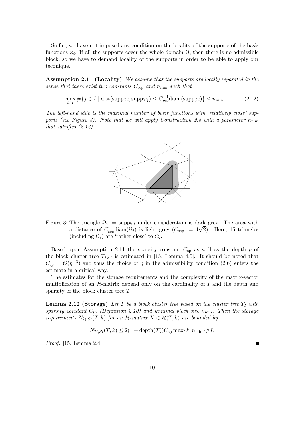So far, we have not imposed any condition on the locality of the supports of the basis functions  $\varphi_i$ . If all the supports cover the whole domain  $\Omega$ , then there is no admissible block, so we have to demand locality of the supports in order to be able to apply our technique.

**Assumption 2.11 (Locality)** *We assume that the supports are locally separated in the sense that there exist two constants*  $C_{\text{sep}}$  *and*  $n_{\text{min}}$  *such that* 

$$
\max_{i \in I} \# \{ j \in I \mid \text{dist(supp}\varphi_i, \text{supp}\varphi_j) \le C_{\text{sep}}^{-1} \text{diam(supp}\varphi_i) \} \le n_{\text{min}}.\tag{2.12}
$$

*The left-hand side is the maximal number of basis functions with 'relatively close' supports (see Figure 3). Note that we will apply Construction 2.5 with a parameter*  $n_{\min}$ *that satisfies (2.12).*



Figure 3: The triangle  $\Omega_i := \text{supp}\varphi_i$  under consideration is dark grey. The area with The triangle  $\Omega_i := \text{supp}\varphi_i$  under consideration is dark grey. The area with<br>a distance of  $C_{\text{sep}}^{-1}$  diam $(\Omega_i)$  is light grey  $(C_{\text{sep}} := 4\sqrt{2})$ . Here, 15 triangles (including  $\Omega_i$ ) are 'rather close' to  $\Omega_i$ .

Based upon Assumption 2.11 the sparsity constant  $C_{sp}$  as well as the depth p of the block cluster tree  $T_{I\times I}$  is estimated in [15, Lemma 4.5]. It should be noted that  $C_{\rm sp} = \mathcal{O}(\eta^{-3})$  and thus the choice of  $\eta$  in the admissibility condition (2.6) enters the estimate in a critical way.

The estimates for the storage requirements and the complexity of the matrix-vector multiplication of an  $H$ -matrix depend only on the cardinality of I and the depth and sparsity of the block cluster tree  $T$ :

**Lemma 2.12 (Storage)** Let  $T$  be a block cluster tree based on the cluster tree  $T_I$  with *sparsity constant*  $C_{\rm SD}$  *(Definition 2.10) and minimal block size*  $n_{\rm min}$ *. Then the storage requirements*  $N_{\mathcal{H},St}(T,k)$  *for an*  $\mathcal{H}$ *-matrix*  $X \in \mathcal{H}(T,k)$  *are bounded by* 

$$
N_{\mathcal{H},St}(T,k) \le 2(1 + \operatorname{depth}(T))C_{\text{sp}} \max\{k, n_{\min}\}\#I.
$$

*Proof.* [15, Lemma 2.4]

Н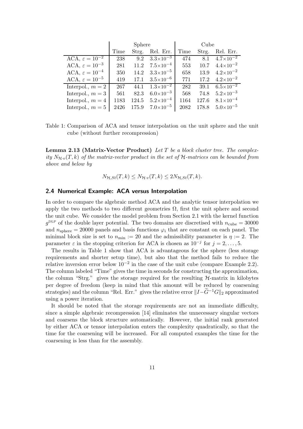|                                         |      | Sphere |                      | Cube |       |                      |  |
|-----------------------------------------|------|--------|----------------------|------|-------|----------------------|--|
|                                         | Time | Strg.  | Rel. Err.            | Time | Strg. | Rel. Err.            |  |
| ACA, $\varepsilon = \overline{10^{-2}}$ | 238  | 9.2    | $3.3 \times 10^{-3}$ | 474  | 8.1   | $4.7 \times 10^{-2}$ |  |
| ACA, $\varepsilon = 10^{-3}$            | 281  | 11.2   | $7.5 \times 10^{-4}$ | 553  | 10.7  | $4.4\times10^{-2}$   |  |
| ACA, $\varepsilon = 10^{-4}$            | 350  | 14.2   | $3.3\times10^{-5}$   | 658  | 13.9  | $4.2 \times 10^{-2}$ |  |
| ACA, $\varepsilon = 10^{-5}$            | 419  | 17.1   | $3.5 \times 10^{-6}$ | 771  | 17.2  | $4.2 \times 10^{-2}$ |  |
| Interpol., $m = 2$                      | 267  | 44.1   | $1.3 \times 10^{-2}$ | 282  | 39.1  | $6.5 \times 10^{-2}$ |  |
| Interpol., $m = 3$                      | 561  | 82.3   | $6.0\times10^{-3}$   | 568  | 74.8  | $5.2\times10^{-3}$   |  |
| Interpol., $m = 4$                      | 1183 | 124.5  | $5.2\times10^{-4}$   | 1164 | 127.6 | $8.1 \times 10^{-4}$ |  |
| Interpol., $m = 5$                      | 2426 | 175.9  | $7.0\times10^{-5}$   | 2082 | 178.8 | $5.0\times10^{-5}$   |  |

Table 1: Comparison of ACA and tensor interpolation on the unit sphere and the unit cube (without further recompression)

**Lemma 2.13 (Matrix-Vector Product)** *Let* T *be a block cluster tree. The complexity*  $N_{H \cdot v}(T, k)$  *of the matrix-vector product in the set of*  $H$ -matrices can be bounded from *above and below by*

$$
N_{\mathcal{H},St}(T,k) \leq N_{\mathcal{H}\cdot v}(T,k) \leq 2N_{\mathcal{H},St}(T,k).
$$

#### **2.4 Numerical Example: ACA versus Interpolation**

In order to compare the algebraic method ACA and the analytic tensor interpolation we apply the two methods to two different geometries  $\Omega$ , first the unit sphere and second the unit cube. We consider the model problem from Section 2.1 with the kernel function  $q^{\text{DLP}}$  of the double layer potential. The two domains are discretised with  $n_{\text{cube}} = 30000$ and  $n_{\text{sphere}} = 20000$  panels and basis functions  $\varphi_i$  that are constant on each panel. The minimal block size is set to  $n_{\min} := 20$  and the admissibility parameter is  $\eta := 2$ . The parameter  $\varepsilon$  in the stopping criterion for ACA is chosen as  $10^{-j}$  for  $j = 2, \ldots, 5$ .

The results in Table 1 show that ACA is advantageous for the sphere (less storage requirements and shorter setup time), but also that the method fails to reduce the relative inversion error below  $10^{-2}$  in the case of the unit cube (compare Example 2.2). The column labeled "Time" gives the time in seconds for constructing the approximation, the column "Strg." gives the storage required for the resulting  $H$ -matrix in kilobytes per degree of freedom (keep in mind that this amount will be reduced by coarsening strategies) and the column "Rel. Err." gives the relative error  $||I-\tilde{G}^{-1}G||_2$  approximated using a power iteration.

It should be noted that the storage requirements are not an immediate difficulty, since a simple algebraic recompression [14] eliminates the unnecessary singular vectors and coarsens the block structure automatically. However, the initial rank generated by either ACA or tensor interpolation enters the complexity quadratically, so that the time for the coarsening will be increased. For all computed examples the time for the coarsening is less than for the assembly.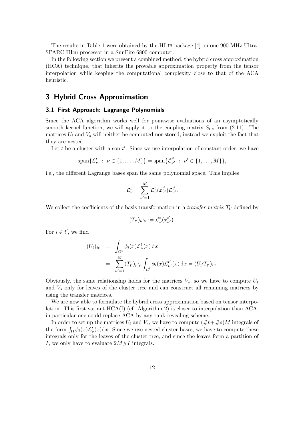The results in Table 1 were obtained by the HLib package [4] on one 900 MHz Ultra-SPARC IIIcu processor in a SunFire 6800 computer.

In the following section we present a combined method, the hybrid cross approximation (HCA) technique, that inherits the provable approximation property from the tensor interpolation while keeping the computational complexity close to that of the ACA heuristic.

#### **3 Hybrid Cross Approximation**

#### **3.1 First Approach: Lagrange Polynomials**

Since the ACA algorithm works well for pointwise evaluations of an asymptotically smooth kernel function, we will apply it to the coupling matrix  $S_{t,s}$  from (2.11). The matrices  $U_t$  and  $V_s$  will neither be computed nor stored, instead we exploit the fact that they are nested.

Let  $t$  be a cluster with a son  $t'$ . Since we use interpolation of constant order, we have

$$
\text{span}\{\mathcal{L}_{\nu}^t : \ \nu \in \{1, \dots, M\}\} = \text{span}\{\mathcal{L}_{\nu'}^{t'} : \ \nu' \in \{1, \dots, M\}\},\
$$

i.e., the different Lagrange bases span the same polynomial space. This implies

$$
\mathcal{L}^t_\nu = \sum_{\nu'=1}^M \mathcal{L}^t_\nu(x_{\nu'}^{t'}) \mathcal{L}^{t'}_{\nu'}.
$$

We collect the coefficients of the basis transformation in a *transfer matrix*  $T_{t'}$  defined by

$$
(T_{t'})_{\nu'\nu} := \mathcal{L}^t_{\nu}(x^{t'}_{\nu'}).
$$

For  $i \in t'$ , we find

$$
(U_t)_{i\nu} = \int_{\Omega^t} \phi_i(x) \mathcal{L}^t_{\nu}(x) dx
$$
  
= 
$$
\sum_{\nu'=1}^M (T_{t'})_{\nu'\nu} \int_{\Omega^t} \phi_i(x) \mathcal{L}^{t'}_{\nu'}(x) dx = (U_{t'} T_{t'})_{i\nu}.
$$

Obviously, the same relationship holds for the matrices  $V_s$ , so we have to compute  $U_t$ and  $V<sub>s</sub>$  only for leaves of the cluster tree and can construct all remaining matrices by using the transfer matrices.

We are now able to formulate the hybrid cross approximation based on tensor interpolation. This first variant  $HCA(I)$  (cf. Algorithm 2) is closer to interpolation than  $ACA$ , in particular one could replace ACA by any rank revealing scheme.

In order to set up the matrices  $U_t$  and  $V_s$ , we have to compute  $(\#t+\#s)M$  integrals of the form  $\int_{\Omega} \phi_i(x) \mathcal{L}_{\nu}^t(x) dx$ . Since we use nested cluster bases, we have to compute these integrals only for the leaves of the cluster tree, and since the leaves form a partition of I, we only have to evaluate  $2M \# I$  integrals.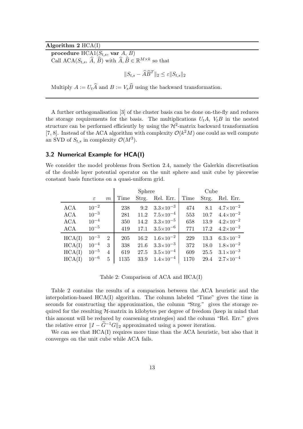#### **Algorithm 2** HCA(I)

**procedure**  $HCA1(S_{t,s}, \text{var } A, B)$ 

Call ACA( $S_{t,s}$ ,  $\widehat{A}$ ,  $\widehat{B}$ ) with  $\widehat{A}$ ,  $\widehat{B} \in \mathbb{R}^{M \times k}$  so that

$$
||S_{t,s} - \widehat{A}\widehat{B}^T||_2 \le \varepsilon ||S_{t,s}||_2
$$

Multiply  $A := U_t\widehat{A}$  and  $B := V_s\widehat{B}$  using the backward transformation.

A further orthogonalisation [3] of the cluster basis can be done on-the-fly and reduces the storage requirements for the basis. The multiplications  $U_tA$ ,  $V_tB$  in the nested structure can be performed efficiently by using the  $\mathcal{H}^2$ -matrix backward transformation [7, 8]. Instead of the ACA algorithm with complexity  $\mathcal{O}(k^2M)$  one could as well compute an SVD of  $S_{t,s}$  in complexity  $\mathcal{O}(M^3)$ .

#### **3.2 Numerical Example for HCA(I)**

We consider the model problems from Section 2.4, namely the Galerkin discretisation of the double layer potential operator on the unit sphere and unit cube by piecewise constant basis functions on a quasi-uniform grid.

|            |               |                  | Sphere |      |                          | Cube |       |                                 |
|------------|---------------|------------------|--------|------|--------------------------|------|-------|---------------------------------|
|            | $\varepsilon$ | $\boldsymbol{m}$ | Time   |      | Strg. Rel. Err.          | Time | Strg. | Rel. Err.                       |
| <b>ACA</b> | $10^{-2}$     |                  | 238    |      | 9.2 $3.3 \times 10^{-3}$ | 474  | 8.1   | $4.7 \times 10^{-2}$            |
| ACA        | $10^{-3}$     |                  | 281    | 11.2 | $7.5\times10^{-4}$       | 553  | 10.7  | $4.4\times10^{-2}$              |
| ACA        | $10^{-4}$     |                  | 350    | 14.2 | $3.3\times10^{-5}$       | 658  | 13.9  | $4.2 \times 10^{-2}$            |
| <b>ACA</b> | $10^{-5}$     |                  | 419    | 17.1 | $3.5 \times 10^{-6}$     | 771  |       | $17.2 \quad 4.2 \times 10^{-2}$ |
| HCA(I)     | $10^{-3}$     | $\overline{2}$   | 205    | 16.2 | $1.6\times10^{-2}$       | 229  | 13.3  | $6.3\times10^{-2}$              |
| HCA(I)     | $10^{-4}$     | 3                | 338    | 21.6 | $3.3\times10^{-3}$       | 372  | 18.0  | $1.8 \times 10^{-2}$            |
| HCA(I)     | $10^{-5}$     | 4                | 619    | 27.5 | $3.5\times10^{-4}$       | 609  | 25.5  | $3.1 \times 10^{-3}$            |
| HCA(I)     | $10^{-6}$     | 5                | 1135   | 33.9 | $1.4\times10^{-4}$       | 1170 | 29.4  | $2.7\times10^{-4}$              |

Table 2: Comparison of ACA and HCA(I)

Table 2 contains the results of a comparison between the ACA heuristic and the interpolation-based HCA(I) algorithm. The column labeled "Time" gives the time in seconds for constructing the approximation, the column "Strg." gives the storage required for the resulting  $H$ -matrix in kilobytes per degree of freedom (keep in mind that this amount will be reduced by coarsening strategies) and the column "Rel. Err." gives the relative error  $||I - \tilde{G}^{-1}G||_2$  approximated using a power iteration.

We can see that  $HCA(I)$  requires more time than the ACA heuristic, but also that it converges on the unit cube while ACA fails.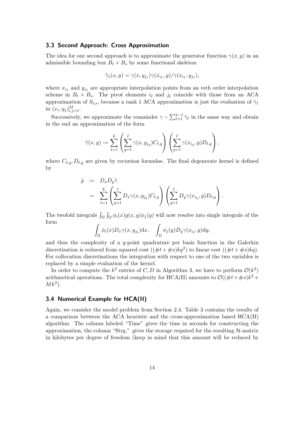#### **3.3 Second Approach: Cross Approximation**

The idea for our second approach is to approximate the generator function  $\gamma(x, y)$  in an admissible bounding box  $B_t \times B_s$  by some functional skeleton

$$
\tilde{\gamma}_1(x,y) = \gamma(x,y_{j_1})\gamma(x_{i_1},y)/\gamma(x_{i_1},y_{j_1}),
$$

where  $x_{i1}$  and  $y_{i1}$  are appropriate interpolation points from an mth order interpolation scheme in  $B_t \times B_s$ . The pivot elements  $i_{\ell}$  and  $j_{\ell}$  coincide with those from an ACA approximation of  $S_{t,s}$ , because a rank 1 ACA approximation is just the evaluation of  $\tilde{\gamma}_1$ in  $(x_i, y_j)_{i,j=1}^M$ .

Successively, we approximate the remainder  $\gamma - \sum_{\ell=1}^{k-1} \tilde{\gamma}_{\ell}$  in the same way and obtain in the end an approximation of the form

$$
\tilde{\gamma}(x,y) := \sum_{\ell=1}^k \left( \sum_{q=1}^\ell \gamma(x,y_{j_q}) C_{\ell,q} \right) \left( \sum_{q=1}^\ell \gamma(x_{i_q},y) D_{\ell,q} \right),
$$

where  $C_{\ell,q}, D_{\ell,q}$  are given by recursion formulae. The final degenerate kernel is defined by

$$
\tilde{g} := D_x D_y \tilde{\gamma}
$$
\n
$$
= \sum_{\ell=1}^k \left( \sum_{q=1}^\ell D_x \gamma(x, y_{j_q}) C_{\ell, q} \right) \left( \sum_{q=1}^\ell D_y \gamma(x_{i_q}, y) D_{\ell, q} \right).
$$

The twofold integrals  $\int_{\Omega} \int_{\Omega} \phi_i(x) g(x, y) \phi_j(y)$  will now resolve into single integrals of the form

$$
\int_{\Omega} \phi_i(x) D_x \gamma(x, y_{j_\ell}) dx, \quad \int_{\Omega} \phi_j(y) D_y \gamma(x_{i_\ell}, y) dy,
$$

and thus the complexity of a  $q$ -point quadrature per basis function in the Galerkin discretisation is reduced from squared cost  $((\#t + \#s)kq^2)$  to linear cost  $((\#t + \#s)kq)$ . For collocation discretisations the integration with respect to one of the two variables is replaced by a simple evaluation of the kernel.

In order to compute the  $k^2$  entries of C, D in Algorithm 3, we have to perform  $\mathcal{O}(k^3)$ arithmetical operations. The total complexity for HCA(II) amounts to  $\mathcal{O}((\#t + \#s)k^2 +$  $M k^2$ ).

#### **3.4 Numerical Example for HCA(II)**

Again, we consider the model problem from Section 2.4. Table 3 contains the results of a comparison between the ACA heuristic and the cross-approximation based HCA(II) algorithm. The column labeled "Time" gives the time in seconds for constructing the approximation, the column "Strg." gives the storage required for the resulting  $H$ -matrix in kilobytes per degree of freedom (keep in mind that this amount will be reduced by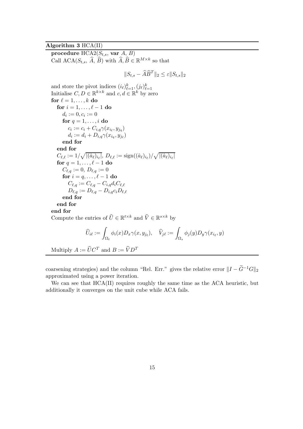#### **Algorithm 3** HCA(II)

**procedure**  $HCA2(S_{t,s}, \text{var } A, B)$ Call ACA( $S_{t,s}$ ,  $\widehat{A}$ ,  $\widehat{B}$ ) with  $\widehat{A}$ ,  $\widehat{B} \in \mathbb{R}^{M \times k}$  so that

$$
||S_{t,s} - \widehat{A}\widehat{B}^T||_2 \le \varepsilon ||S_{t,s}||_2
$$

and store the pivot indices  $(i_{\ell})_{\ell=1}^{k}$ ,  $(j_{\ell})_{\ell=1}^{k}$ Initialise  $C, D \in \mathbb{R}^{k \times k}$  and  $c, d \in \mathbb{R}^k$  by zero for  $\ell = 1, \ldots, k$  do **for**  $i = 1, ..., \ell - 1$  **do**  $d_i := 0, c_i := 0$ **for**  $q = 1, \ldots, i$  **do**  $c_i := c_i + C_{i,q}\gamma(x_{i_\ell},y_{j_q})$  $d_i := d_i + D_{i,q}\gamma(x_{i_q}, y_{i_\ell})$ **end for end for**  $C_{\ell,\ell} := 1/\surd |(\hat{a}_{\ell})_{i_{\ell}}|, \, D_{\ell,\ell} := \mathrm{sign}((\hat{a}_{\ell})_{i_{\ell}})/\surd |(\hat{a}_{\ell})_{i_{\ell}}|$ **for**  $q = 1, ..., \ell - 1$  **do**  $C_{\ell,q} := 0,\,D_{\ell,q} := 0$  ${\bf for} \,\, i = q, \ldots, \ell - 1 \,\, {\bf do}$  $C_{\ell,q} := C_{\ell,q} - C_{i,q} d_i C_{\ell,\ell}$  $D_{\ell,q} := D_{\ell,q} - D_{i,q} c_i D_{\ell,\ell}$ **end for end for end for** Compute the entries of  $\widehat{U} \in \mathbb{R}^{t \times k}$  and  $\widehat{V} \in \mathbb{R}^{s \times k}$  by

$$
\widehat{U}_{i\ell} := \int_{\Omega_t} \phi_i(x) D_x \gamma(x, y_{j\ell}), \quad \widehat{V}_{j\ell} := \int_{\Omega_s} \phi_j(y) D_y \gamma(x_{i_\ell}, y)
$$

Multiply  $A := \widehat{U} C^T$  and  $B := \widehat{V} D^T$ 

coarsening strategies) and the column "Rel. Err." gives the relative error  $||I - \tilde{G}^{-1}G||_2$ approximated using a power iteration.

We can see that HCA(II) requires roughly the same time as the ACA heuristic, but additionally it converges on the unit cube while ACA fails.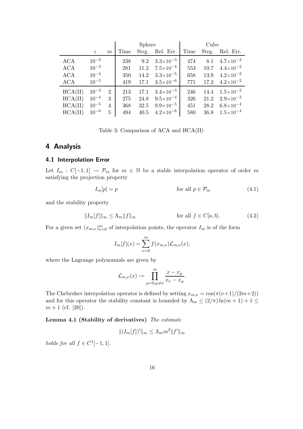|            |               |                | <b>Sphere</b> |      |                          | Cube |       |                                 |
|------------|---------------|----------------|---------------|------|--------------------------|------|-------|---------------------------------|
|            | $\varepsilon$ | m              | Time          |      | Strg. Rel. Err.          | Time | Strg. | Rel. Err.                       |
| <b>ACA</b> | $10^{-2}$     |                | 238           |      | 9.2 $3.3 \times 10^{-3}$ | 474  |       | 8.1 $4.7 \times 10^{-2}$        |
| ACA        | $10^{-3}$     |                | 281           | 11.2 | $7.5\times10^{-4}$       | 553  |       | $10.7 \quad 4.4 \times 10^{-2}$ |
| <b>ACA</b> | $10^{-4}$     |                | 350           | 14.2 | $3.3\times10^{-5}$       | 658  | 13.9  | $4.2\times10^{-2}$              |
| <b>ACA</b> | $10^{-5}$     |                | 419           | 17.1 | $3.5 \times 10^{-6}$     | 771  |       | $17.2 \quad 4.2 \times 10^{-2}$ |
| HCA(II)    | $10^{-3}$     | $\overline{2}$ | 213           | 17.1 | $3.4\times10^{-3}$       | 246  |       | $14.4 \quad 1.5 \times 10^{-2}$ |
| HCA(II)    | $10^{-4}$     | 3              | 275           | 24.8 | $9.5 \times 10^{-4}$     | 326  | 21.2  | $2.9\times10^{-3}$              |
| HCA(II)    | $10^{-5}$     | $\overline{4}$ | 368           | 32.5 | $9.9\times10^{-5}$       | 451  | 28.2  | $6.8\times10^{-4}$              |
| HCA(II)    | $10^{-6}$     | 5              | 494           | 40.5 | $4.2\times10^{-6}$       | 580  | 36.8  | $1.5 \times 10^{-4}$            |

Table 3: Comparison of ACA and HCA(II)

#### **4 Analysis**

#### **4.1 Interpolation Error**

Let  $I_m : C[-1,1] \rightarrow \mathcal{P}_m$  for  $m \in \mathbb{N}$  be a stable interpolation operator of order m satisfying the projection property

$$
I_m[p] = p \qquad \qquad \text{for all } p \in \mathcal{P}_m \tag{4.1}
$$

and the stability property

$$
||I_m[f]||_{\infty} \le \Lambda_m ||f||_{\infty} \qquad \text{for all } f \in C[a, b]. \tag{4.2}
$$

For a given set  $(x_{m,\nu})_{\nu=0}^m$  of interpolation points, the operator  $I_m$  is of the form

$$
I_m[f](x) = \sum_{\nu=0}^m f(x_{m,\nu}) \mathcal{L}_{m,\nu}(x),
$$

where the Lagrange polynomials are given by

$$
\mathcal{L}_{m,\nu}(x) := \prod_{\mu=0,\mu\neq\nu}^m \frac{x - x_\mu}{x_\nu - x_\mu}.
$$

The Chebyshev interpolation operator is defined by setting  $x_{m,\nu} = \cos(\pi(\nu+1)/(2m+2))$ and for this operator the stability constant is bounded by  $\Lambda_m \leq (2/\pi) \ln(m+1) + 1 \leq$  $m+1$  (cf. [20]).

**Lemma 4.1 (Stability of derivatives)** *The estimate*

$$
||(I_m[f])'||_{\infty} \leq \Lambda_m m^2 ||f'||_{\infty}
$$

*holds for all*  $f \in C^1[-1,1]$ *.*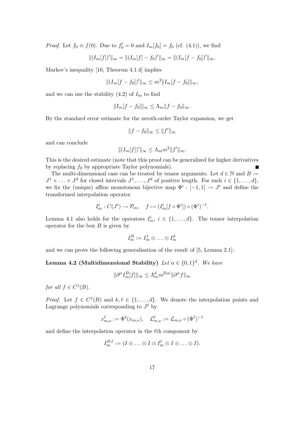*Proof.* Let  $f_0 \equiv f(0)$ . Due to  $f'_0 = 0$  and  $I_m[f_0] = f_0$  (cf. (4.1)), we find

$$
||(I_m[f])'||_{\infty} = ||(I_m[f] - f_0)'||_{\infty} = ||(I_m[f - f_0])'||_{\infty}.
$$

Markov's inequality [10, Theorem 4.1.4] implies

$$
|| (I_m[f - f_0])' ||_{\infty} \le m^2 || I_m[f - f_0] ||_{\infty},
$$

and we can use the stability  $(4.2)$  of  $I<sub>m</sub>$  to find

$$
||I_m[f - f_0]||_{\infty} \le \Lambda_m ||f - f_0||_{\infty}.
$$

By the standard error estimate for the zeroth-order Taylor expansion, we get

$$
||f - f_0||_{\infty} \le ||f'||_{\infty}
$$

and can conclude

$$
||(I_m[f])'||_{\infty} \leq \Lambda_m m^2 ||f'||_{\infty}.
$$

This is the desired estimate (note that this proof can be generalized for higher derivatives by replacing  $f_0$  by appropriate Taylor polynomials).

The multi-dimensional case can be treated by tensor arguments. Let  $d \in \mathbb{N}$  and  $B :=$  $J^1 \times \ldots \times J^d$  for closed intervals  $J^1, \ldots, J^d$  of positive length. For each  $i \in \{1, \ldots, d\}$ , we fix the (unique) affine monotonous bijective map  $\Phi^i : [-1,1] \to J^i$  and define the transformed interpolation operator

$$
I_m^i : C(J^i) \to \mathcal{P}_m, \quad f \mapsto (I_m^i[f \circ \Phi^i]) \circ (\Phi^i)^{-1}.
$$

Lemma 4.1 also holds for the operators  $I_m^i$ ,  $i \in \{1, ..., d\}$ . The tensor interpolation operator for the box  $B$  is given by

$$
I_m^B:=I_m^1\otimes\ldots\otimes I_m^d
$$

and we can prove the following generalisation of the result of [5, Lemma 2.1]:

#### **Lemma 4.2 (Multidimensional Stability)** *Let*  $\alpha \in \{0, 1\}^d$ *. We have*

$$
\|\partial^\alpha I_m^B[f]\|_\infty\leq \Lambda_m^dm^{2|\alpha|}\|\partial^\alpha f\|_\infty
$$

*for all*  $f \in C^1(B)$ *.* 

*Proof.* Let  $f \in C^1(B)$  and  $k, \ell \in \{1, ..., d\}$ . We denote the interpolation points and Lagrange polynomials corresponding to  $J^{\ell}$  by

$$
x_{m,\nu}^\ell:=\Phi^\ell(x_{m,\nu}),\quad \mathcal{L}_{m,\nu}^\ell:=\mathcal{L}_{m,\nu}\circ(\Phi^\ell)^{-1}
$$

and define the interpolation operator in the  $\ell$ th component by

$$
I_m^{B,\ell} := (I \otimes \ldots \otimes I \otimes I_m^{\ell} \otimes I \otimes \ldots \otimes I).
$$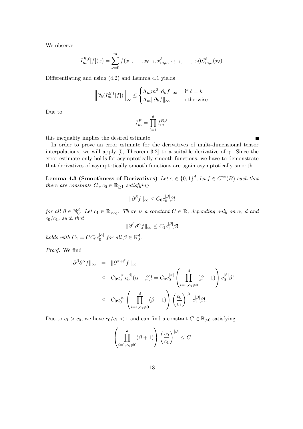We observe

$$
I_m^{B,\ell}[f](x) = \sum_{\nu=0}^m f(x_1,\ldots,x_{\ell-1},x_{m,\nu}^{\ell},x_{\ell+1},\ldots,x_d) \mathcal{L}_{m,\nu}^{\ell}(x_{\ell}).
$$

Differentiating and using (4.2) and Lemma 4.1 yields

$$
\left\|\partial_k(I_m^{B,\ell}[f])\right\|_{\infty} \le \begin{cases} \Lambda_m m^2 \|\partial_k f\|_{\infty} & \text{if } \ell = k\\ \Lambda_m \|\partial_k f\|_{\infty} & \text{otherwise.} \end{cases}
$$

Due to

$$
I_m^B = \prod_{\ell=1}^d I_m^{B,\ell},
$$

this inequality implies the desired estimate.

In order to prove an error estimate for the derivatives of multi-dimensional tensor interpolations, we will apply [5, Theorem 3.2] to a suitable derivative of  $\gamma$ . Since the error estimate only holds for asymptotically smooth functions, we have to demonstrate that derivatives of asymptotically smooth functions are again asymptotically smooth.

**Lemma 4.3 (Smoothness of Derivatives)** *Let*  $\alpha \in \{0,1\}^d$ , *let*  $f \in C^{\infty}(B)$  *such that there are constants*  $C_0, c_0 \in \mathbb{R}_{\geq 1}$  *satisfying* 

$$
\|\partial^{\beta} f\|_{\infty} \leq C_0 c_0^{|\beta|} \beta!
$$

*for all*  $\beta \in \mathbb{N}_0^d$ *. Let*  $c_1 \in \mathbb{R}_{>c_0}$ *. There is a constant*  $C \in \mathbb{R}$ *, depending only on*  $\alpha$ *, d and* c0/c1*, such that*

$$
\|\partial^{\beta}\partial^{\alpha}f\|_{\infty} \leq C_1 c_1^{|\beta|} \beta!
$$

*holds with*  $C_1 = CC_0c_0^{|\alpha|}$  for all  $\beta \in \mathbb{N}_0^d$ .

*Proof.* We find

$$
\|\partial^{\beta}\partial^{\alpha}f\|_{\infty} = \|\partial^{\alpha+\beta}f\|_{\infty}
$$
  
\n
$$
\leq C_{0}c_{0}^{|\alpha|}c_{0}^{|\beta|}(\alpha+\beta)! = C_{0}c_{0}^{|\alpha|}\left(\prod_{i=1,\alpha_{i}\neq 0}^{d}(\beta+1)\right)c_{0}^{|\beta|}\beta!
$$
  
\n
$$
\leq C_{0}c_{0}^{|\alpha|}\left(\prod_{i=1,\alpha_{i}\neq 0}^{d}(\beta+1)\right)\left(\frac{c_{0}}{c_{1}}\right)^{|\beta|}c_{1}^{|\beta|}\beta!
$$

Due to  $c_1 > c_0$ , we have  $c_0/c_1 < 1$  and can find a constant  $C \in \mathbb{R}_{>0}$  satisfying

$$
\left(\prod_{i=1,\alpha_i\neq 0}^d (\beta+1)\right) \left(\frac{c_0}{c_1}\right)^{|\beta|} \le C
$$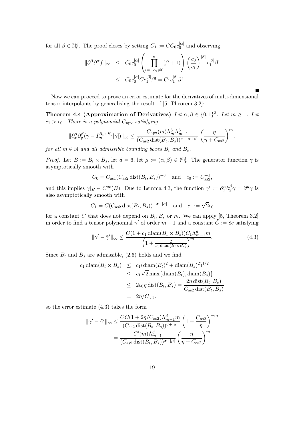for all  $\beta \in \mathbb{N}_0^d$ . The proof closes by setting  $C_1 := CC_0 c_0^{|\alpha|}$  and observing

$$
\|\partial^{\beta}\partial^{\alpha}f\|_{\infty} \leq C_0 c_0^{|\alpha|} \left(\prod_{i=1,\alpha_i\neq 0}^d (\beta+1)\right) \left(\frac{c_0}{c_1}\right)^{|\beta|} c_1^{|\beta|} \beta!
$$
  

$$
\leq C_0 c_0^{|\alpha|} C c_1^{|\beta|} \beta! = C_1 c_1^{|\beta|} \beta!.
$$

Now we can proceed to prove an error estimate for the derivatives of multi-dimensional tensor interpolants by generalising the result of [5, Theorem 3.2]:

**Theorem 4.4 (Approximation of Derivatives)** *Let*  $\alpha, \beta \in \{0, 1\}^3$ *. Let*  $m \ge 1$ *. Let*  $c_1 > c_0$ . There is a polynomial  $C_{\text{apx}}$  *satisfying* 

$$
\|\partial_x^\alpha \partial_y^\beta (\gamma-I_m^{B_t\times B_s}[\gamma])\|_\infty\leq \frac{C_{\rm apx}(m)\Lambda_m^6\Lambda_{m-1}^6}{(C_{\rm as2}\operatorname{dist}(B_t,B_s))^{\sigma+|\alpha+\beta|}}\left(\frac{\eta}{\eta+C_{\rm as2}}\right)^m.
$$

*for all*  $m \in \mathbb{N}$  *and all admissible bounding boxes*  $B_t$  *and*  $B_s$ *.* 

*Proof.* Let  $B := B_t \times B_s$ , let  $d = 6$ , let  $\mu := (\alpha, \beta) \in \mathbb{N}_0^d$ . The generator function  $\gamma$  is asymptotically smooth with

$$
C_0 = C_{\text{as}1}(C_{\text{as}2} \text{dist}(B_t, B_s))^{-\sigma}
$$
 and  $c_0 := C_{\text{as}2}^{-1}$ ,

and this implies  $\gamma|_B \in C^{\infty}(B)$ . Due to Lemma 4.3, the function  $\gamma' := \partial_x^{\alpha} \partial_y^{\beta} \gamma = \partial^{\mu} \gamma$  is also asymptotically smooth with

$$
C_1 = C(C_{as2} dist(B_t, B_s))^{-\sigma - |\alpha|}
$$
 and  $c_1 := \sqrt{2}c_0$ 

for a constant C that does not depend on  $B_t, B_s$  or m. We can apply [5, Theorem 3.2] in order to find a tensor polynomial  $\tilde{\gamma}'$  of order  $m-1$  and a constant  $\tilde{C} := 8e$  satisfying

$$
\|\gamma' - \tilde{\gamma}'\|_{\infty} \le \frac{\tilde{C}(1 + c_1 \operatorname{diam}(B_t \times B_s))C_1 \Lambda_{m-1}^d m}{\left(1 + \frac{2}{c_1 \operatorname{diam}(B_t \times B_s)}\right)^m}.
$$
\n(4.3)

Since  $B_t$  and  $B_s$  are admissible, (2.6) holds and we find

$$
c_1 \operatorname{diam}(B_t \times B_s) \le c_1 (\operatorname{diam}(B_t)^2 + \operatorname{diam}(B_s)^2)^{1/2}
$$
  
\n
$$
\le c_1 \sqrt{2} \max \{ \operatorname{diam}(B_t), \operatorname{diam}(B_s) \}
$$
  
\n
$$
\le 2c_0 \eta \operatorname{dist}(B_t, B_s) = \frac{2\eta \operatorname{dist}(B_t, B_s)}{C_{\text{as}2} \operatorname{dist}(B_t, B_s)}
$$
  
\n
$$
= 2\eta/C_{\text{as}2},
$$

so the error estimate (4.3) takes the form

$$
\|\gamma' - \tilde{\gamma}'\|_{\infty} \le \frac{C\tilde{C}(1 + 2\eta/C_{\text{as}2})\Lambda_{m-1}^d m}{(C_{\text{as}2}\,\text{dist}(B_t, B_s))^{\sigma + |\mu|}} \left(1 + \frac{C_{\text{as}2}}{\eta}\right)^{-m}
$$

$$
= \frac{C'(m)\Lambda_{m-1}^d}{(C_{\text{as}2}\,\text{dist}(B_t, B_s))^{\sigma + |\mu|}} \left(\frac{\eta}{\eta + C_{\text{as}2}}\right)^m
$$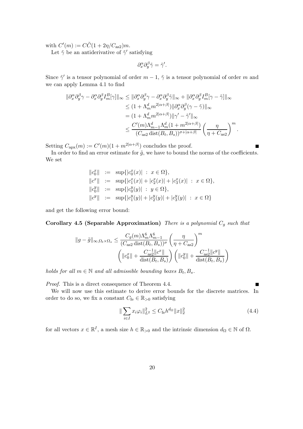with  $C'(m) := C\tilde{C}(1 + 2\eta/C_{\text{as}2})m$ .

Let  $\tilde{\gamma}$  be an antiderivative of  $\tilde{\gamma}'$  satisfying

$$
\partial_x^{\alpha} \partial_y^{\beta} \tilde{\gamma} = \tilde{\gamma}'.
$$

Since  $\tilde{\gamma}'$  is a tensor polynomial of order  $m-1$ ,  $\tilde{\gamma}$  is a tensor polynomial of order m and we can apply Lemma 4.1 to find

$$
\begin{split} \|\partial_x^{\alpha}\partial_y^{\beta}\gamma - \partial_x^{\alpha}\partial_y^{\beta}I_m^B[\gamma]\|_{\infty} &\leq \|\partial_x^{\alpha}\partial_y^{\beta}\gamma - \partial_x^{\alpha}\partial_y^{\beta}\tilde{\gamma}\|_{\infty} + \|\partial_x^{\alpha}\partial_y^{\beta}I_m^B[\gamma - \tilde{\gamma}]\|_{\infty} \\ &\leq (1 + \Lambda_m^dm^{2|\alpha+\beta|})\|\partial_x^{\alpha}\partial_y^{\beta}(\gamma - \tilde{\gamma})\|_{\infty} \\ &= (1 + \Lambda_m^dm^{2|\alpha+\beta|})\|\gamma' - \tilde{\gamma}'\|_{\infty} \\ &\leq \frac{C'(m)\Lambda_{m-1}^d\Lambda_m^d(1 + m^{2|\alpha+\beta|})}{(C_{\rm as2}\operatorname{dist}(B_t, B_s))^{\sigma+|\alpha+\beta|}}\left(\frac{\eta}{\eta + C_{\rm as2}}\right)^m. \end{split}
$$

Setting  $C_{\text{apx}}(m) := C'(m)(1 + m^{2|\alpha + \beta|})$  concludes the proof.

In order to find an error estimate for  $\tilde{g}$ , we have to bound the norms of the coefficients. We set

$$
||c_0^x|| := \sup\{|c_0^x(x)| : x \in \Omega\},
$$
  
\n
$$
||c^x|| := \sup\{|c_1^x(x)| + |c_2^x(x)| + |c_3^x(x)| : x \in \Omega\},
$$
  
\n
$$
||c_0^y|| := \sup\{|c_0^y(y)| : y \in \Omega\},
$$
  
\n
$$
||c^y|| := \sup\{|c_1^y(y)| + |c_2^y(y)| + |c_3^y(y)| : x \in \Omega\}
$$

and get the following error bound:

**Corollary 4.5 (Separable Approximation)** *There is a polynomial*  $C_g$  *such that* 

$$
||g - \tilde{g}||_{\infty, \Omega_t \times \Omega_s} \le \frac{C_g(m)\Lambda_m^6 \Lambda_{m-1}^6}{(C_{\text{as}2} \operatorname{dist}(B_t, B_s))^{\sigma}} \left(\frac{\eta}{\eta + C_{\text{as}2}}\right)^m
$$

$$
\left( ||c_0^x|| + \frac{C_{\text{as}2}^{-1}||c^x||}{\operatorname{dist}(B_t, B_s)} \right) \left( ||c_0^y|| + \frac{C_{\text{as}2}^{-1}||c^y||}{\operatorname{dist}(B_t, B_s)} \right)
$$

*holds for all*  $m \in \mathbb{N}$  *and all admissible bounding boxes*  $B_t, B_s$ .

*Proof.* This is a direct consequence of Theorem 4.4.

We will now use this estimate to derive error bounds for the discrete matrices. In order to do so, we fix a constant  $C_{\text{fe}} \in \mathbb{R}_{>0}$  satisfying

$$
\|\sum_{i\in I} x_i \varphi_i\|_{L^2}^2 \le C_{\text{fe}} h^{d_{\Omega}} \|x\|_2^2 \tag{4.4}
$$

for all vectors  $x \in \mathbb{R}^I$ , a mesh size  $h \in \mathbb{R}_{>0}$  and the intrinsic dimension  $d_{\Omega} \in \mathbb{N}$  of  $\Omega$ .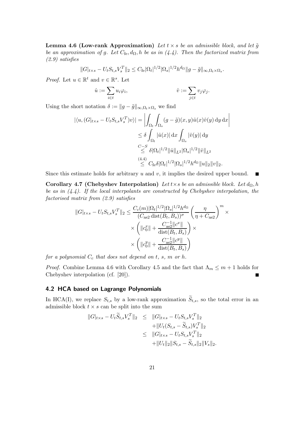**Lemma 4.6 (Low-rank Approximation)** *Let*  $t \times s$  *be an admissible block, and let*  $\tilde{q}$ *be an approximation of g. Let*  $C_{\text{fe}}$ ,  $d_{\Omega}$ , *h be as in (4.4). Then the factorized matrix from (2.9) satisfies*

$$
||G|_{t \times s} - U_t S_{t,s} V_s^T ||_2 \leq C_{\text{fe}} |\Omega_t|^{1/2} |\Omega_s|^{1/2} h^{d_{\Omega}} ||g - \tilde{g}||_{\infty, \Omega_t \times \Omega_s}.
$$

*Proof.* Let  $u \in \mathbb{R}^t$  and  $v \in \mathbb{R}^s$ . Let

$$
\hat{u} := \sum_{i \in t} u_i \varphi_i, \qquad \qquad \hat{v} := \sum_{j \in t} v_j \varphi_j.
$$

Using the short notation  $\delta := ||g - \tilde{g}||_{\infty, \Omega_t \times \Omega_s}$  we find

$$
\begin{aligned} |\langle u, (G|_{t\times s} - U_t S_{t,s} V_s^T) v \rangle| &= \left| \int_{\Omega_t} \int_{\Omega_s} (g - \tilde{g})(x, y) \hat{u}(x) \hat{v}(y) \, dy \, dx \right| \\ &\leq \delta \int_{\Omega_t} |\hat{u}(x)| \, dx \int_{\Omega_s} |\hat{v}(y)| \, dy \\ &\stackrel{C-S}{\leq} \delta |\Omega_t|^{1/2} ||\hat{u}||_{L^2} |\Omega_s|^{1/2} ||\hat{v}||_{L^2} \\ &\stackrel{(4.4)}{\leq} C_{\text{fe}} \delta |\Omega_t|^{1/2} |\Omega_s|^{1/2} h^{d_{\Omega}} ||u||_2 ||v||_2. \end{aligned}
$$

Since this estimate holds for arbitrary  $u$  and  $v$ , it implies the desired upper bound.

**Corollary 4.7 (Chebyshev Interpolation)** *Let*  $t \times s$  *be an admissible block. Let*  $d_{\Omega}$ , *h be as in (4.4). If the local interpolants are constructed by Chebyshev interpolation, the factorised matrix from (2.9) satisfies*

$$
||G|_{t \times s} - U_t S_{t,s} V_s^T ||_2 \leq \frac{C_c(m) |\Omega_t|^{1/2} |\Omega_s|^{1/2} h^{d_{\Omega}}}{(C_{\text{as}2} \operatorname{dist}(B_t, B_s))^{\sigma}} \left(\frac{\eta}{\eta + C_{\text{as}2}}\right)^m \times \\ \times \left( ||c_0^x|| + \frac{C_{\text{as}2}^{-1} ||c^x||}{\operatorname{dist}(B_t, B_s)} \right) \times \\ \times \left( ||c_0^y|| + \frac{C_{\text{as}2}^{-1} ||c^y||}{\operatorname{dist}(B_t, B_s)} \right)
$$

*for a polynomial*  $C_c$  *that does not depend on t, s, m or h.* 

*Proof.* Combine Lemma 4.6 with Corollary 4.5 and the fact that  $\Lambda_m \leq m+1$  holds for Chebyshev interpolation (cf. [20]).

#### **4.2 HCA based on Lagrange Polynomials**

In HCA(I), we replace  $S_{t,s}$  by a low-rank approximation  $\widetilde{S}_{t,s}$ , so the total error in an admissible block  $t \times s$  can be split into the sum

$$
||G|_{t\times s} - U_t \widetilde{S}_{t,s} V_s^T ||_2 \leq ||G|_{t\times s} - U_t S_{t,s} V_s^T ||_2
$$
  
+ 
$$
||U_t (S_{t,s} - \widetilde{S}_{t,s}) V_s^T ||_2
$$
  

$$
\leq ||G|_{t\times s} - U_t S_{t,s} V_s^T ||_2
$$
  
+ 
$$
||U_t ||_2 ||S_{t,s} - \widetilde{S}_{t,s} ||_2 ||V_s ||_2.
$$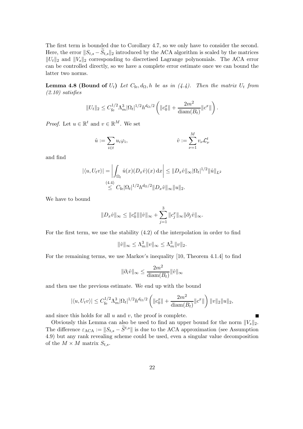The first term is bounded due to Corollary 4.7, so we only have to consider the second. Here, the error  $||S_{t,s} - S_{t,s}||_2$  introduced by the ACA algorithm is scaled by the matrices  $||U_t||_2$  and  $||V_s||_2$  corresponding to discretised Lagrange polynomials. The ACA error can be controlled directly, so we have a complete error estimate once we can bound the latter two norms.

**Lemma 4.8 (Bound of**  $U_t$ ) *Let*  $C_{\text{fe}}, d_{\Omega}, h$  *be as in (4.4). Then the matrix*  $U_t$  *from (2.10) satisfies*

$$
||U_t||_2 \leq C_{\text{fe}}^{1/2} \Lambda_m^3 |\Omega_t|^{1/2} h^{d_{\Omega}/2} \left( ||c_0^x|| + \frac{2m^2}{\text{diam}(B_t)} ||c^x|| \right).
$$

*Proof.* Let  $u \in \mathbb{R}^t$  and  $v \in \mathbb{R}^M$ . We set

$$
\hat{u} := \sum_{i \in t} u_i \varphi_i, \qquad \qquad \hat{v} := \sum_{\nu=1}^M v_{\nu} \mathcal{L}_{\nu}^t
$$

and find

$$
|\langle u, U_t v \rangle| = \left| \int_{\Omega_t} \hat{u}(x) (D_x \hat{v})(x) dx \right| \leq ||D_x \hat{v}||_{\infty} |\Omega_t|^{1/2} ||\hat{u}||_{L^2}
$$
  

$$
\leq C_{\text{fe}} |\Omega_t|^{1/2} h^{d_{\Omega}/2} ||D_x \hat{v}||_{\infty} ||u||_2.
$$

We have to bound

$$
||D_x \hat{v}||_{\infty} \le ||c_0^x|| ||\hat{v}||_{\infty} + \sum_{j=1}^3 ||c_j^x||_{\infty} ||\partial_j \hat{v}||_{\infty}.
$$

For the first term, we use the stability (4.2) of the interpolation in order to find

$$
\|\hat{v}\|_{\infty}\leq \Lambda_m^3 \|v\|_{\infty}\leq \Lambda_m^3 \|v\|_2.
$$

For the remaining terms, we use Markov's inequality [10, Theorem 4.1.4] to find

$$
\|\partial_i \hat v\|_\infty \leq \frac{2m^2}{\text{diam}(B_t)} \|\hat v\|_\infty
$$

and then use the previous estimate. We end up with the bound

$$
|\langle u, U_t v \rangle| \le C_{\text{fe}}^{1/2} \Lambda_m^3 |\Omega_t|^{1/2} h^{d_{\Omega}/2} \left( ||c_0^x|| + \frac{2m^2}{\text{diam}(B_t)} ||c^x|| \right) ||v||_2 ||u||_2,
$$

and since this holds for all  $u$  and  $v$ , the proof is complete.

Obviously this Lemma can also be used to find an upper bound for the norm  $||V_s||_2$ . The difference  $\varepsilon_{\text{ACA}} := \|S_{t,s} - \tilde{S}^{t,s}\|$  is due to the ACA approximation (see Assumption 4.9) but any rank revealing scheme could be used, even a singular value decomposition of the  $M \times M$  matrix  $S_{t,s}$ .

 $\blacksquare$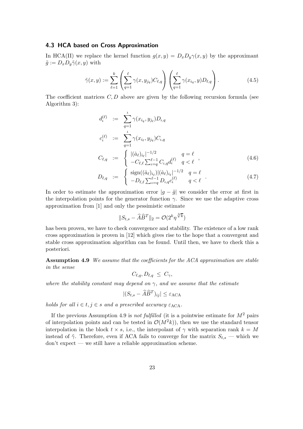#### **4.3 HCA based on Cross Approximation**

In HCA(II) we replace the kernel function  $g(x, y) = D_x D_y \gamma(x, y)$  by the approximant  $\tilde{g} := D_x D_y \tilde{\gamma}(x, y)$  with

$$
\tilde{\gamma}(x,y) := \sum_{\ell=1}^k \left( \sum_{q=1}^\ell \gamma(x,y_{j_q}) C_{\ell,q} \right) \left( \sum_{q=1}^\ell \gamma(x_{i_q},y) D_{\ell,q} \right). \tag{4.5}
$$

The coefficient matrices  $C, D$  above are given by the following recursion formula (see Algorithm 3):

$$
d_{\iota}^{(\ell)} := \sum_{q=1}^{i} \gamma(x_{i_q}, y_{j_{\ell}}) D_{\iota, q}
$$
  
\n
$$
c_{\iota}^{(\ell)} := \sum_{q=1}^{i} \gamma(x_{i_{\ell}}, y_{j_q}) C_{\iota, q}
$$
  
\n
$$
C_{\ell, q} := \begin{cases} |(\hat{a}_{\ell})_{i_{\ell}}|^{-1/2} & q = \ell \\ -C_{\ell, \ell} \sum_{\iota = q}^{\ell - 1} C_{\iota, q} d_{\iota}^{(\ell)} & q < \ell \end{cases}
$$
 (4.6)

$$
D_{\ell,q} := \begin{cases} \text{sign}((\hat{a}_{\ell})_{i_{\ell}})|(\hat{a}_{\ell})_{i_{\ell}}|^{-1/2} & q = \ell \\ -D_{\ell,\ell} \sum_{\iota=q}^{\ell-1} D_{\iota,q} c_{\iota}^{(\ell)} & q < \ell \end{cases} . \tag{4.7}
$$

In order to estimate the approximation error  $|g - \tilde{g}|$  we consider the error at first in the interpolation points for the generator function  $\gamma$ . Since we use the adaptive cross approximation from [1] and only the pessimistic estimate

$$
||S_{t,s} - \widehat{A}\widehat{B}^T||_2 = \mathcal{O}(2^k \eta^{\sqrt[3]{k}})
$$

has been proven, we have to check convergence and stability. The existence of a low rank cross approximation is proven in [12] which gives rise to the hope that a convergent and stable cross approximation algorithm can be found. Until then, we have to check this a posteriori.

**Assumption 4.9** *We assume that the coefficients for the ACA approximation are stable in the sense*

$$
C_{\ell,q}, D_{\ell,q} \leq C_{\gamma},
$$

*where the stability constant may depend on*  $\gamma$ *, and we assume that the estimate* 

$$
|(S_{t,s} - \widehat{A}\widehat{B}^T)_{ij}| \leq \varepsilon_{\text{ACA}}
$$

*holds for all*  $i \in t, j \in s$  *and a prescribed accuracy*  $\varepsilon_{\text{ACA}}$ *.* 

If the previous Assumption 4.9 is *not fulfilled* (it is a pointwise estimate for  $M^2$  pairs of interpolation points and can be tested in  $\mathcal{O}(M^2k)$ , then we use the standard tensor interpolation in the block  $t \times s$ , i.e., the interpolant of  $\gamma$  with separation rank  $k = M$ instead of  $\tilde{\gamma}$ . Therefore, even if ACA fails to converge for the matrix  $S_{ts}$  — which we don't expect — we still have a reliable approximation scheme.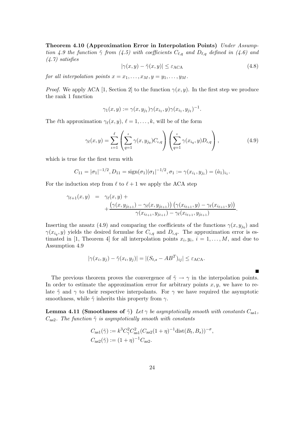**Theorem 4.10 (Approximation Error in Interpolation Points)** *Under Assumption 4.9 the function*  $\tilde{\gamma}$  *from* (4.5) with coefficients  $C_{\ell,q}$  and  $D_{\ell,q}$  defined in (4.6) and *(4.7) satisfies*

$$
|\gamma(x, y) - \tilde{\gamma}(x, y)| \le \varepsilon_{\text{ACA}} \tag{4.8}
$$

*for all interpolation points*  $x = x_1, \ldots, x_M, y = y_1, \ldots, y_M$ .

*Proof.* We apply ACA [1, Section 2] to the function  $\gamma(x, y)$ . In the first step we produce the rank 1 function

$$
\gamma_1(x,y) := \gamma(x,y_{j_1}) \gamma(x_{i_1},y) \gamma(x_{i_1},y_{j_1})^{-1}.
$$

The *l*th approximation  $\gamma_{\ell}(x, y), \ell = 1, \ldots, k$ , will be of the form

$$
\gamma_{\ell}(x,y) = \sum_{\iota=1}^{\ell} \left( \sum_{q=1}^{\iota} \gamma(x, y_{j_q}) C_{\iota,q} \right) \left( \sum_{q=1}^{\iota} \gamma(x_{i_q}, y) D_{\iota,q} \right), \tag{4.9}
$$

which is true for the first term with

$$
C_{11} = |\sigma_1|^{-1/2}, D_{11} = \text{sign}(\sigma_1)|\sigma_1|^{-1/2}, \sigma_1 := \gamma(x_{i_1}, y_{j_1}) = (\hat{a}_1)_{i_1}.
$$

For the induction step from  $\ell$  to  $\ell + 1$  we apply the ACA step

$$
\gamma_{\ell+1}(x,y) = \gamma_{\ell}(x,y) + \frac{\left(\gamma(x,y_{j_{\ell+1}}) - \gamma_{\ell}(x,y_{j_{\ell+1}})\right)\left(\gamma(x_{i_{\ell+1}},y) - \gamma_{\ell}(x_{i_{\ell+1}},y)\right)}{\gamma(x_{i_{\ell+1}},y_{j_{\ell+1}}) - \gamma_{\ell}(x_{i_{\ell+1}},y_{j_{\ell+1}})}.
$$

Inserting the ansatz (4.9) and comparing the coefficients of the functions  $\gamma(x, y_{j_q})$  and  $\gamma(x_{i_q}, y)$  yields the desired formulae for  $C_{i_q}$  and  $D_{i_q}$ . The approximation error is estimated in [1, Theorem 4] for all interpolation points  $x_i, y_i, i = 1, \ldots, M$ , and due to Assumption 4.9

$$
|\gamma(x_i, y_j) - \tilde{\gamma}(x_i, y_j)| = |(S_{t,s} - AB^T)_{ij}| \le \varepsilon_{\text{ACA}}.
$$

The previous theorem proves the convergence of  $\tilde{\gamma} \rightarrow \gamma$  in the interpolation points. In order to estimate the approximation error for arbitrary points  $x, y$ , we have to relate  $\tilde{\gamma}$  and  $\gamma$  to their respective interpolants. For  $\gamma$  we have required the asymptotic smoothness, while  $\tilde{\gamma}$  inherits this property from  $\gamma$ .

 $\blacksquare$ 

**Lemma 4.11 (Smoothness of**  $\tilde{\gamma}$ ) *Let*  $\gamma$  *be asymptotically smooth with constants*  $C_{\text{as}1}$ *,*  $C_{\text{as}2}$ *. The function*  $\tilde{\gamma}$  *is asymptotically smooth with constants* 

$$
C_{\text{as}1}(\tilde{\gamma}) := k^3 C_{\gamma}^2 C_{\text{as}1}^2 (C_{\text{as}2}(1+\eta)^{-1} \text{dist}(B_t, B_s))^{-\sigma},
$$
  

$$
C_{\text{as}2}(\tilde{\gamma}) := (1+\eta)^{-1} C_{\text{as}2}.
$$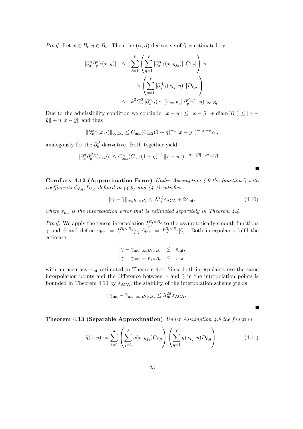*Proof.* Let  $x \in B_t, y \in B_s$ . Then the  $(\alpha, \beta)$ -derivative of  $\tilde{\gamma}$  is estimated by

$$
\begin{array}{rcl} |\partial_x^{\alpha}\partial_y^{\beta}\tilde{\gamma}(x,y)| & \leq & \displaystyle \sum_{\ell=1}^k \left( \sum_{q=1}^\ell |\partial_x^{\alpha}\gamma(x,y_{j_q})| \, |C_{\ell,q}| \right) \times \\ & \times \left( \sum_{q=1}^\ell |\partial_y^{\beta}\gamma(x_{i_q},y)| \, |D_{\ell,q}| \right) \\ & \leq & k^3 C_\gamma^2 \|\partial_x^{\alpha}\gamma(x,\cdot)\|_{\infty,B_s} \|\partial_y^{\beta}\gamma(\cdot,y)\|_{\infty,B_t} .\end{array}
$$

Due to the admissibility condition we conclude  $||x - y|| \le ||x - \tilde{y}|| + \text{diam}(B_s) \le ||x - y||$  $\tilde{y}$ || +  $\eta$ || $x - \tilde{y}$ || and thus

$$
\|\partial_x^{\alpha}\gamma(x,\cdot)\|_{\infty,B_s} \leq C_{\text{as}1}(C_{\text{as}2}(1+\eta)^{-1} \|x-y\|)^{-|\alpha|-\sigma}\alpha!,
$$

analogously for the  $\partial_y^{\beta}$  derivative. Both together yield

$$
|\partial_x^{\alpha} \partial_y^{\beta} \tilde{\gamma}(x, y)| \leq C_{\text{as}1}^2 (C_{\text{as}2}(1 + \eta)^{-1} ||x - y||)^{-|\alpha| - |\beta| - 2\sigma} \alpha! \beta!
$$

**Corollary 4.12 (Approximation Error)** *Under Assumption 4.9 the function*  $\tilde{\gamma}$  *with coefficients*  $C_{\ell,q}$ ,  $D_{\ell,q}$  *defined in (4.6) and (4.7) satisfies* 

$$
\|\gamma - \tilde{\gamma}\|_{\infty, B_t \times B_s} \le \Lambda_m^{2d} \varepsilon_{\text{ACA}} + 2\varepsilon_{\text{int}},\tag{4.10}
$$

*where*  $\varepsilon_{\text{int}}$  *is the interpolation error that is estimated separately in Theorem 4.4.* 

*Proof.* We apply the tensor interpolation  $I_m^{B_t \times B_s}$  to the asymptotically smooth functions  $\gamma$  and  $\tilde{\gamma}$  and define  $\gamma_{int} := I_m^{B_t \times B_s}[\gamma], \tilde{\gamma}_{int} := I_m^{B_t \times B_s}[\tilde{\gamma}]$ . Both interpolants fulfil the estimate

$$
\|\gamma - \gamma_{\rm int}\|_{\infty, B_t \times B_s} \leq \varepsilon_{\rm int},
$$
  

$$
\|\tilde{\gamma} - \tilde{\gamma}_{\rm int}\|_{\infty, B_t \times B_s} \leq \varepsilon_{\rm int}
$$

with an accuracy  $\varepsilon_{\text{int}}$  estimated in Theorem 4.4. Since both interpolants use the same interpolation points and the difference between  $\gamma$  and  $\tilde{\gamma}$  in the interpolation points is bounded in Theorem 4.10 by  $\varepsilon_{\text{ACA}}$ , the stability of the interpolation scheme yields

$$
\|\gamma_{\rm int}-\tilde\gamma_{\rm int}\|_{\infty,B_t\times B_s}\leq \Lambda_m^{2d}\varepsilon_{\rm ACA}.
$$

**Theorem 4.13 (Separable Approximation)** *Under Assumption 4.9 the function*

$$
\tilde{g}(x,y) := \sum_{\ell=1}^{k} \left( \sum_{q=1}^{\ell} g(x, y_{j_q}) C_{\ell,q} \right) \left( \sum_{q=1}^{\ell} g(x_{i_q}, y) D_{\ell,q} \right).
$$
 (4.11)

 $\blacksquare$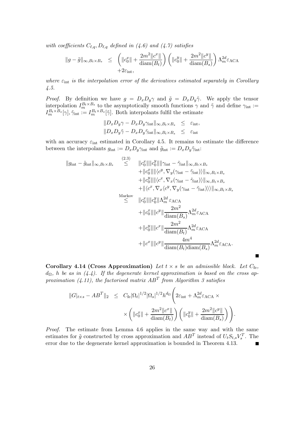*with coefficients*  $C_{\ell,q}, D_{\ell,q}$  *defined in (4.6) and (4.7) satisfies* 

$$
||g - \tilde{g}||_{\infty, B_t \times B_s} \leq \left( ||c_0^x|| + \frac{2m^2 ||c^x||}{\text{diam}(B_t)} \right) \left( ||c_0^y|| + \frac{2m^2 ||c^y||}{\text{diam}(B_s)} \right) \Lambda_m^{2d} \varepsilon_{\text{ACA}} + 2\varepsilon_{\text{int}},
$$

*where*  $\varepsilon_{\text{int}}$  *is the interpolation error of the derivatives estimated separately in Corollary 4.5.*

*Proof.* By definition we have  $g = D_x D_y \gamma$  and  $\tilde{g} = D_x D_y \tilde{\gamma}$ . We apply the tensor interpolation  $I_m^{B_t \times B_s}$  to the asymptotically smooth functions  $\gamma$  and  $\tilde{\gamma}$  and define  $\gamma_{int}$ :=  $I_m^{B_t \times B_s}[\gamma], \tilde{\gamma}_{\text{int}} := I_m^{B_t \times B_s}[\tilde{\gamma}].$  Both interpolants fulfil the estimate

$$
||D_x D_y \gamma - D_x D_y \gamma_{\text{int}}||_{\infty, B_t \times B_s} \leq \varepsilon_{\text{int}},
$$
  

$$
||D_x D_y \tilde{\gamma} - D_x D_y \tilde{\gamma}_{\text{int}}||_{\infty, B_t \times B_s} \leq \varepsilon_{\text{int}}
$$

with an accuracy  $\varepsilon_{\text{int}}$  estimated in Corollary 4.5. It remains to estimate the difference between the interpolants  $g_{\text{int}} := D_x D_y \gamma_{\text{int}}$  and  $\tilde{g}_{\text{int}} := D_x D_y \tilde{\gamma}_{\text{int}}$ :

$$
||g_{int} - \tilde{g}_{int}||\infty, B_t \times B_s \leq ||c_0^x|| ||c_0^y|| ||\gamma_{int} - \tilde{\gamma}_{int}||\infty, B_t \times B_s \n+ ||c_0^x|| ||\langle c^y, \nabla_y(\gamma_{int} - \tilde{\gamma}_{int}) \rangle ||\infty, B_t \times B_s \n+ ||c_0^y|| ||\langle c^x, \nabla_x(\gamma_{int} - \tilde{\gamma}_{int}) \rangle ||\infty, B_t \times B_s \n+ ||\langle c^x, \nabla_x \langle c^y, \nabla_y(\gamma_{int} - \tilde{\gamma}_{int}) \rangle \rangle ||\infty, B_t \times B_s \n+ ||\langle c^x, \nabla_x \langle c^y, \nabla_y(\gamma_{int} - \tilde{\gamma}_{int}) \rangle \rangle ||\infty, B_t \times B_s \n\leq ||c_0^x|| ||c_0^y|| \Lambda_m^{2d} \varepsilon_{\text{ACA}} \n+ ||c_0^y|| ||c^y|| \frac{2m^2}{\text{diam}(B_s)} \Lambda_m^{2d} \varepsilon_{\text{ACA}} \n+ ||c_0^y|| ||c^x|| \frac{4m^4}{\text{diam}(B_t) \text{diam}(B_s)} \Lambda_m^{2d} \varepsilon_{\text{ACA}}.
$$

**Corollary 4.14 (Cross Approximation)** Let  $t \times s$  be an admissible block. Let  $C_{\text{fe}}$ , dΩ*,* h *be as in (4.4). If the degenerate kernel approximation is based on the cross approximation (4.11), the factorised matrix* AB<sup>T</sup> *from Algorithm 3 satisfies*

 $\blacksquare$ 

$$
||G|_{t\times s} - AB^T||_2 \leq C_{\text{fe}}|\Omega_t|^{1/2} |\Omega_s|^{1/2} h^{d_{\Omega}} \left(2\varepsilon_{\text{int}} + \Lambda_m^{2d} \varepsilon_{\text{ACA}} \times \times \left(\|c_0^x\| + \frac{2m^2 \|c^x\|}{\text{diam}(B_t)}\right) \left(\|c_0^y\| + \frac{2m^2 \|c^y\|}{\text{diam}(B_s)}\right)\right).
$$

*Proof.* The estimate from Lemma 4.6 applies in the same way and with the same estimates for  $\tilde{g}$  constructed by cross approximation and  $AB^T$  instead of  $U_t S_{t,s} V_s^T$ . The error due to the degenerate kernel approximation is bounded in Theorem 4.13.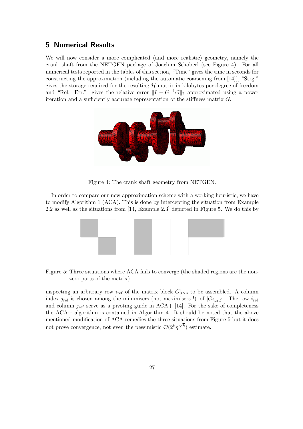#### **5 Numerical Results**

We will now consider a more complicated (and more realistic) geometry, namely the crank shaft from the NETGEN package of Joachim Schöberl (see Figure 4). For all numerical tests reported in the tables of this section, "Time" gives the time in seconds for constructing the approximation (including the automatic coarsening from [14]), "Strg." gives the storage required for the resulting  $H$ -matrix in kilobytes per degree of freedom and "Rel. Err." gives the relative error  $||I - \tilde{G}^{-1}G||_2$  approximated using a power iteration and a sufficiently accurate representation of the stiffness matrix  $G$ .



Figure 4: The crank shaft geometry from NETGEN.

In order to compare our new approximation scheme with a working heuristic, we have to modify Algorithm 1 (ACA). This is done by intercepting the situation from Example 2.2 as well as the situations from [14, Example 2.3] depicted in Figure 5. We do this by



Figure 5: Three situations where ACA fails to converge (the shaded regions are the nonzero parts of the matrix)

inspecting an arbitrary row  $i_{\text{ref}}$  of the matrix block  $G|_{t\times s}$  to be assembled. A column index  $j_{ref}$  is chosen among the minimisers (not maximisers !) of  $|G_{i_{ref},j}|$ . The row  $i_{ref}$ and column  $j_{\text{ref}}$  serve as a pivoting guide in ACA+ [14]. For the sake of completeness the ACA+ algorithm is contained in Algorithm 4. It should be noted that the above mentioned modification of ACA remedies the three situations from Figure 5 but it does not prove convergence, not even the pessimistic  $\mathcal{O}(2^k \eta^{\sqrt[3]{k}})$  estimate.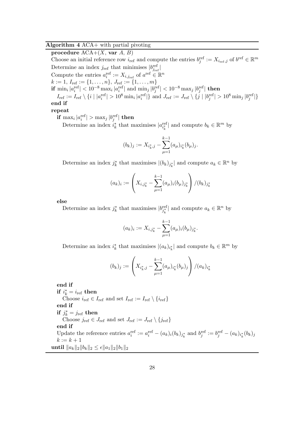#### **Algorithm 4** ACA+ with partial pivoting

**procedure** ACA+(X, **var** A, B) Choose an initial reference row  $i_{ref}$  and compute the entries  $b_j^{ref} := X_{i_{ref},j}$  of  $b^{ref} \in \mathbb{R}^m$ Determine an index  $j_{\text{ref}}$  that minimises  $|b_{j_{\text{ref}}}^{\text{ref}}|$ Compute the entries  $a_i^{\text{ref}} := X_{i,j_{\text{ref}}}$  of  $a^{\text{ref}} \in \mathbb{R}^n$  $k:=1,\,I_{\rm ref}:=\{1,\ldots,n\},\,J_{\rm ref}:=\{1,\ldots,m\}$  $\textbf{if} \hspace{0.2cm} \min_i |a_i^{\text{ref}}| < 10^{-8} \max_i |a_i^{\text{ref}}| \hspace{0.2cm} \text{and} \hspace{0.2cm} \min_j |b_j^{\text{ref}}| < 10^{-8} \max_j |b_j^{\text{ref}}| \hspace{0.2cm} \textbf{then}$  $I_{\text{ref}} := I_{\text{ref}} \setminus \{i \mid |a_i^{\text{ref}}| > 10^8 \min_i |a_i^{\text{ref}}| \}$  and  $J_{\text{ref}} := J_{\text{ref}} \setminus \{j \mid |b_j^{\text{ref}}| > 10^8 \min_j |b_j^{\text{ref}}| \}$ **end if repeat**  $\mathbf{if} \, \max_i |a^{\textup{ref}}_i| > \max_j |b^{\textup{ref}}_j| \, \mathbf{then}$ 

Determine an index  $i_k^*$  that maximises  $|a_{i_k^*}^{\text{ref}}|$  and compute  $b_k \in \mathbb{R}^m$  by

$$
(b_k)_j := X_{i_k^*,j} - \sum_{\mu=1}^{k-1} (a_\mu)_{i_k^*} (b_\mu)_j.
$$

Determine an index  $j_k^*$  that maximises  $|(b_k)_{j_k^*}|$  and compute  $a_k \in \mathbb{R}^n$  by

$$
(a_k)_i := \left(X_{i,j_k^*} - \sum_{\mu=1}^{k-1} (a_\mu)_i (b_\mu)_{j_k^*}\right) / (b_k)_{j_k^*}
$$

**else**

Determine an index  $j_k^*$  that maximises  $|b_{j_k^*}^{\text{ref}}|$  and compute  $a_k \in \mathbb{R}^n$  by

$$
(a_k)_i := X_{i,j_k^*} - \sum_{\mu=1}^{k-1} (a_\mu)_i (b_\mu)_{j_k^*}.
$$

Determine an index  $i_k^*$  that maximises  $|(a_k)_{i_k^*}|$  and compute  $b_k \in \mathbb{R}^m$  by

$$
(b_k)_j := \left(X_{i_k^*,j} - \sum_{\mu=1}^{k-1} (a_\mu)_{i_k^*} (b_\mu)_j\right) / (a_k)_{i_k^*}
$$

**end if**  $\mathbf{if} \; i_k^* = i_{\text{ref}} \; \mathbf{then}$ Choose  $i_{\text{ref}} \in I_{\text{ref}}$  and set  $I_{\text{ref}} := I_{\text{ref}} \setminus \{i_{\text{ref}}\}$ **end if**  $\mathbf{if}~j_k^* = j_{\text{ref}}~\mathbf{then}$ Choose  $j_{\text{ref}} \in J_{\text{ref}}$  and set  $J_{\text{ref}} := J_{\text{ref}} \setminus \{j_{\text{ref}}\}$ **end if** Update the reference entries  $a_i^{\text{ref}} := a_i^{\text{ref}} - (a_k)_i (b_k)_{j_k^*}$  and  $b_j^{\text{ref}} := b_j^{\text{ref}} - (a_k)_{i_k^*} (b_k)_{j_k^*}$  $k := k + 1$  $\textbf{until } \|a_k\|_2 \|b_k\|_2 \leq \epsilon \|a_1\|_2 \|b_1\|_2$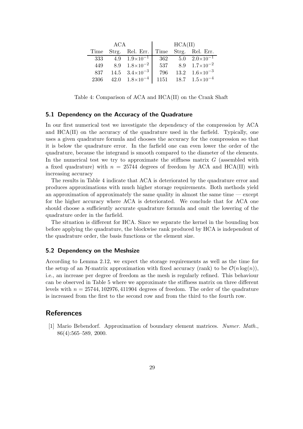|      | <b>ACA</b> |                                           | HCA(II)          |  |                                 |  |
|------|------------|-------------------------------------------|------------------|--|---------------------------------|--|
|      |            | Time Strg. Rel. Err. Time Strg. Rel. Err. |                  |  |                                 |  |
| 333  |            | 4.9 $1.9 \times 10^{-1}$                  | $\overline{3}62$ |  | $5.0 \quad 2.0 \times 10^{-1}$  |  |
| 449  |            | 8.9 $1.8 \times 10^{-2}$                  | 537              |  | 8.9 $1.7 \times 10^{-2}$        |  |
| 837  |            | $14.5 \quad 3.4 \times 10^{-3}$           | 796              |  | $13.2 \quad 1.6 \times 10^{-3}$ |  |
| 2306 |            | 42.0 $1.8 \times 10^{-4}$                 | 1151             |  | $18.7 \quad 1.5 \times 10^{-4}$ |  |

Table 4: Comparison of ACA and HCA(II) on the Crank Shaft

#### **5.1 Dependency on the Accuracy of the Quadrature**

In our first numerical test we investigate the dependency of the compression by ACA and HCA(II) on the accuracy of the quadrature used in the farfield. Typically, one uses a given quadrature formula and chooses the accuracy for the compression so that it is below the quadrature error. In the farfield one can even lower the order of the quadrature, because the integrand is smooth compared to the diameter of the elements. In the numerical test we try to approximate the stiffness matrix  $G$  (assembled with a fixed quadrature) with  $n = 25744$  degrees of freedom by ACA and HCA(II) with increasing accuracy

The results in Table 4 indicate that ACA is deteriorated by the quadrature error and produces approximations with much higher storage requirements. Both methods yield an approximation of approximately the same quality in almost the same time — except for the higher accuracy where ACA is deteriorated. We conclude that for ACA one should choose a sufficiently accurate quadrature formula and omit the lowering of the quadrature order in the farfield.

The situation is different for HCA. Since we separate the kernel in the bounding box before applying the quadrature, the blockwise rank produced by HCA is independent of the quadrature order, the basis functions or the element size.

#### **5.2 Dependency on the Meshsize**

According to Lemma 2.12, we expect the storage requirements as well as the time for the setup of an  $\mathcal{H}$ -matrix approximation with fixed accuracy (rank) to be  $\mathcal{O}(n \log(n))$ , i.e., an increase per degree of freedom as the mesh is regularly refined. This behaviour can be observed in Table 5 where we approximate the stiffness matrix on three different levels with  $n = 25744, 102976, 411904$  degrees of freedom. The order of the quadrature is increased from the first to the second row and from the third to the fourth row.

#### **References**

[1] Mario Bebendorf. Approximation of boundary element matrices. *Numer. Math.*, 86(4):565–589, 2000.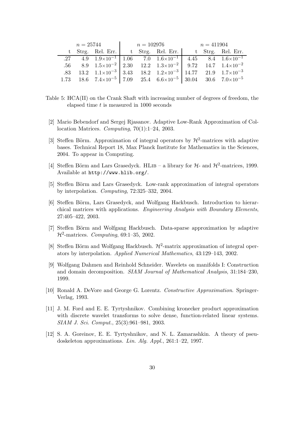|  |  |  | $n = 25744$ $n = 102976$ $n = 411904$ |  |  |                                                                                                                                  |  |  |  |
|--|--|--|---------------------------------------|--|--|----------------------------------------------------------------------------------------------------------------------------------|--|--|--|
|  |  |  |                                       |  |  | t Strg. Rel. Err.   t Strg. Rel. Err.   t Strg. Rel. Err.                                                                        |  |  |  |
|  |  |  |                                       |  |  | $\overline{.27}$ 4.9 $\overline{1.9\times10^{-1}}$ 1.06 7.0 $\overline{1.6\times10^{-1}}$ 4.45 8.4 $\overline{1.6\times10^{-1}}$ |  |  |  |
|  |  |  |                                       |  |  | .56 8.9 $1.5 \times 10^{-2}$ 2.30 12.2 $1.3 \times 10^{-2}$ 9.72 14.7 $1.4 \times 10^{-2}$                                       |  |  |  |
|  |  |  |                                       |  |  | .83 13.2 $1.1 \times 10^{-3}$ 3.43 18.2 $1.2 \times 10^{-3}$ 14.77 21.9 $1.7 \times 10^{-3}$                                     |  |  |  |
|  |  |  |                                       |  |  | 1.73 18.6 $7.4 \times 10^{-5}$ 7.09 25.4 $6.6 \times 10^{-5}$ 30.04 30.6 $7.0 \times 10^{-5}$                                    |  |  |  |

Table 5: HCA(II) on the Crank Shaft with increasing number of degrees of freedom, the elapsed time  $t$  is measured in 1000 seconds

- [2] Mario Bebendorf and Sergej Rjasanov. Adaptive Low-Rank Approximation of Collocation Matrices. *Computing*, 70(1):1–24, 2003.
- [3] Steffen Börm. Approximation of integral operators by  $\mathcal{H}^2$ -matrices with adaptive bases. Technical Report 18, Max Planck Institute for Mathematics in the Sciences, 2004. To appear in Computing.
- [4] Steffen Börm and Lars Grasedyck. HLIB a library for  $H$  and  $H^2$ -matrices, 1999. Available at http://www.hlib.org/.
- [5] Steffen Börm and Lars Grasedyck. Low-rank approximation of integral operators by interpolation. *Computing*, 72:325–332, 2004.
- [6] Steffen Börm, Lars Grasedyck, and Wolfgang Hackbusch. Introduction to hierarchical matrices with applications. *Engineering Analysis with Boundary Elements*, 27:405–422, 2003.
- [7] Steffen Börm and Wolfgang Hackbusch. Data-sparse approximation by adaptive H2-matrices. *Computing*, 69:1–35, 2002.
- [8] Steffen Börm and Wolfgang Hackbusch.  $\mathcal{H}^2$ -matrix approximation of integral operators by interpolation. *Applied Numerical Mathematics*, 43:129–143, 2002.
- [9] Wolfgang Dahmen and Reinhold Schneider. Wavelets on manifolds I: Construction and domain decomposition. *SIAM Journal of Mathematical Analysis*, 31:184–230, 1999.
- [10] Ronald A. DeVore and George G. Lorentz. *Constructive Approximation*. Springer-Verlag, 1993.
- [11] J. M. Ford and E. E. Tyrtyshnikov. Combining kronecker product approximation with discrete wavelet transforms to solve dense, function-related linear systems. *SIAM J. Sci. Comput.*, 25(3):961–981, 2003.
- [12] S. A. Goreinov, E. E. Tyrtyshnikov, and N. L. Zamarashkin. A theory of pseudoskeleton approximations. *Lin. Alg. Appl.*, 261:1–22, 1997.